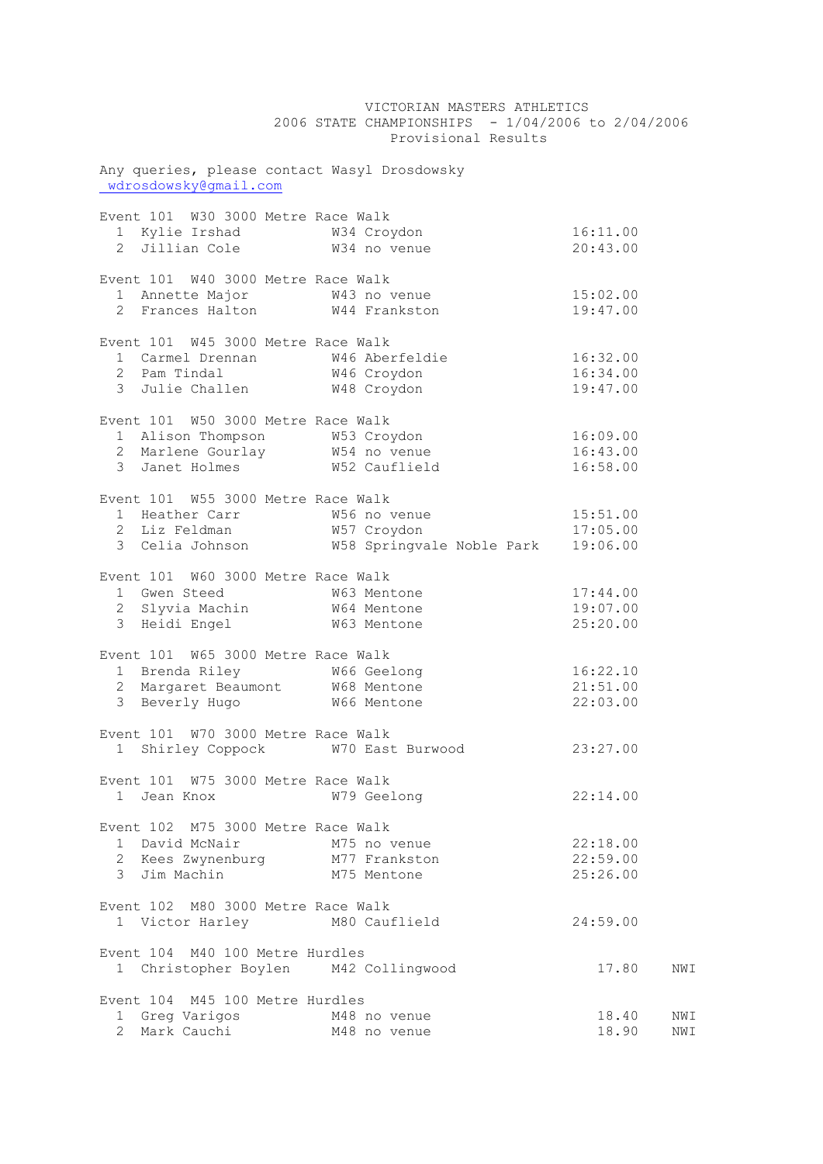|                                                                       | 2006 STATE CHAMPIONSHIPS - 1/04/2006 to 2/04/2006<br>Provisional Results                                                         |          |     |
|-----------------------------------------------------------------------|----------------------------------------------------------------------------------------------------------------------------------|----------|-----|
| Any queries, please contact Wasyl Drosdowsky<br>wdrosdowsky@gmail.com |                                                                                                                                  |          |     |
| Event 101 W30 3000 Metre Race Walk                                    |                                                                                                                                  |          |     |
|                                                                       |                                                                                                                                  | 16:11.00 |     |
|                                                                       |                                                                                                                                  | 20:43.00 |     |
| Event 101 W40 3000 Metre Race Walk                                    |                                                                                                                                  |          |     |
| 1 Annette Major 643 no venue                                          |                                                                                                                                  | 15:02.00 |     |
| 2 Frances Halton W44 Frankston                                        |                                                                                                                                  | 19:47.00 |     |
| Event 101 W45 3000 Metre Race Walk                                    |                                                                                                                                  |          |     |
|                                                                       |                                                                                                                                  | 16:32.00 |     |
|                                                                       |                                                                                                                                  | 16:34.00 |     |
|                                                                       |                                                                                                                                  | 19:47.00 |     |
| Event 101 W50 3000 Metre Race Walk                                    |                                                                                                                                  |          |     |
| 1 Alison Thompson M53 Croydon                                         |                                                                                                                                  | 16:09.00 |     |
| 2 Marlene Gourlay W54 no venue                                        |                                                                                                                                  | 16:43.00 |     |
| 3 Janet Holmes M52 Cauflield                                          |                                                                                                                                  | 16:58.00 |     |
| Event 101 W55 3000 Metre Race Walk                                    |                                                                                                                                  |          |     |
|                                                                       |                                                                                                                                  |          |     |
|                                                                       |                                                                                                                                  |          |     |
|                                                                       | 1 Heather Carr M56 no venue 15:51.00<br>2 Liz Feldman M57 Croydon 17:05.00<br>3 Celia Johnson M58 Springvale Noble Park 19:06.00 |          |     |
| Event 101 W60 3000 Metre Race Walk                                    |                                                                                                                                  |          |     |
| 1 Gwen Steed                                                          | W63 Mentone                                                                                                                      | 17:44.00 |     |
| 2 Slyvia Machin W64 Mentone                                           |                                                                                                                                  | 19:07.00 |     |
| 3 Heidi Engel M63 Mentone                                             |                                                                                                                                  | 25:20.00 |     |
| Event 101 W65 3000 Metre Race Walk                                    |                                                                                                                                  |          |     |
|                                                                       |                                                                                                                                  | 16:22.10 |     |
|                                                                       |                                                                                                                                  | 21:51.00 |     |
|                                                                       |                                                                                                                                  | 22:03.00 |     |
| Event 101 W70 3000 Metre Race Walk                                    |                                                                                                                                  |          |     |
|                                                                       | 1 Shirley Coppock W70 East Burwood                                                                                               | 23:27.00 |     |
| Event 101 W75 3000 Metre Race Walk                                    |                                                                                                                                  |          |     |
| 1 Jean Knox                                                           | W79 Geelong                                                                                                                      | 22:14.00 |     |
| Event 102 M75 3000 Metre Race Walk                                    |                                                                                                                                  |          |     |
| 1 David McNair M75 no venue                                           |                                                                                                                                  | 22:18.00 |     |
| 2 Kees Zwynenburg M77 Frankston                                       |                                                                                                                                  | 22:59.00 |     |
| 3 Jim Machin <sup>-</sup> M75 Mentone                                 |                                                                                                                                  | 25:26.00 |     |
| Event 102 M80 3000 Metre Race Walk                                    |                                                                                                                                  |          |     |
| 1 Victor Harley M80 Cauflield                                         |                                                                                                                                  | 24:59.00 |     |
| Event 104 M40 100 Metre Hurdles                                       |                                                                                                                                  |          |     |
| 1 Christopher Boylen M42 Collingwood                                  |                                                                                                                                  | 17.80    | NWI |
| Event 104 M45 100 Metre Hurdles                                       |                                                                                                                                  |          |     |
| 1 Greg Varigos M48 no venue                                           |                                                                                                                                  | 18.40    | NWI |
| 2 Mark Cauchi M48 no venue                                            |                                                                                                                                  | 18.90    | NWI |

VICTORIAN MASTERS ATHLETICS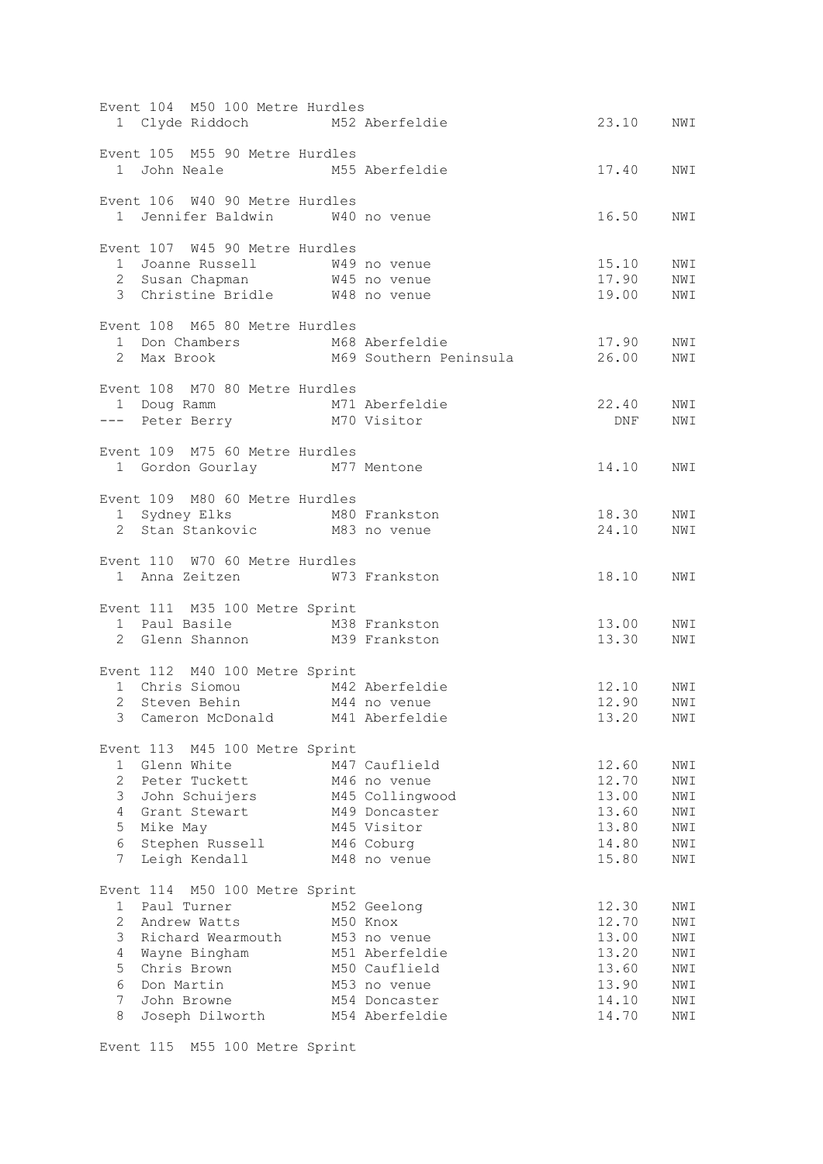|                | Event 104 M50 100 Metre Hurdles                                                                                  |  |                                                                     |                    |     |  |  |
|----------------|------------------------------------------------------------------------------------------------------------------|--|---------------------------------------------------------------------|--------------------|-----|--|--|
|                | 1 Clyde Riddoch M52 Aberfeldie                                                                                   |  |                                                                     | 23.10              | NWI |  |  |
|                |                                                                                                                  |  |                                                                     |                    |     |  |  |
|                | Event 105 M55 90 Metre Hurdles                                                                                   |  |                                                                     |                    |     |  |  |
|                |                                                                                                                  |  |                                                                     | 17.40 NWI          |     |  |  |
|                | 1 John Neale M55 Aberfeldie                                                                                      |  |                                                                     |                    |     |  |  |
|                |                                                                                                                  |  |                                                                     |                    |     |  |  |
|                | Event 106 W40 90 Metre Hurdles                                                                                   |  |                                                                     |                    |     |  |  |
|                | 1 Jennifer Baldwin W40 no venue                                                                                  |  |                                                                     | 16.50              | NWI |  |  |
|                |                                                                                                                  |  |                                                                     |                    |     |  |  |
|                | Event 107 W45 90 Metre Hurdles                                                                                   |  |                                                                     |                    |     |  |  |
|                |                                                                                                                  |  |                                                                     | 15.10              | NWI |  |  |
|                | 1 Joanne Russell 1 1 100 WAS no venue<br>2 Susan Chapman 1 10 WAS no venue<br>3 Christine Bridle 10 WAS no venue |  |                                                                     | $17.90$<br>$19.00$ | NWI |  |  |
|                |                                                                                                                  |  |                                                                     |                    | NWI |  |  |
|                |                                                                                                                  |  |                                                                     |                    |     |  |  |
|                | Event 108 M65 80 Metre Hurdles                                                                                   |  |                                                                     |                    |     |  |  |
|                |                                                                                                                  |  |                                                                     | 17.90              | NWI |  |  |
|                |                                                                                                                  |  | 1 Don Chambers M68 Aberfeldie<br>2 Max Brook M69 Southern Peninsula | 26.00              | NWI |  |  |
|                |                                                                                                                  |  |                                                                     |                    |     |  |  |
|                |                                                                                                                  |  |                                                                     |                    |     |  |  |
|                | Event 108 M70 80 Metre Hurdles                                                                                   |  |                                                                     |                    |     |  |  |
|                | 1 Doug Ramm M71 Aberfeldie<br>--- Peter Berry M70 Visitor                                                        |  |                                                                     | 22.40              | NWI |  |  |
|                |                                                                                                                  |  |                                                                     | DNF<br>DNF         | NWI |  |  |
|                |                                                                                                                  |  |                                                                     |                    |     |  |  |
|                | Event 109 M75 60 Metre Hurdles                                                                                   |  |                                                                     |                    |     |  |  |
|                | 1 Gordon Gourlay M77 Mentone                                                                                     |  |                                                                     | 14.10              | NWI |  |  |
|                |                                                                                                                  |  |                                                                     |                    |     |  |  |
|                | Event 109 M80 60 Metre Hurdles                                                                                   |  |                                                                     |                    |     |  |  |
|                |                                                                                                                  |  |                                                                     | 18.30              | NWI |  |  |
|                | 1 Sydney Elks M80 Frankston<br>2 Stan Stankovic M83 no venue                                                     |  |                                                                     | 24.10              | NWI |  |  |
|                |                                                                                                                  |  |                                                                     |                    |     |  |  |
|                | Event 110 W70 60 Metre Hurdles                                                                                   |  |                                                                     |                    |     |  |  |
|                | 1 Anna Zeitzen M73 Frankston                                                                                     |  |                                                                     | 18.10              | NWI |  |  |
|                |                                                                                                                  |  |                                                                     |                    |     |  |  |
|                |                                                                                                                  |  |                                                                     |                    |     |  |  |
|                | Event 111 M35 100 Metre Sprint                                                                                   |  |                                                                     |                    |     |  |  |
|                | 1 Paul Basile M38 Frankston                                                                                      |  |                                                                     | 13.00              | NWI |  |  |
|                | 2 Glenn Shannon M39 Frankston                                                                                    |  |                                                                     | 13.30              | NWI |  |  |
|                |                                                                                                                  |  |                                                                     |                    |     |  |  |
|                | Event 112 M40 100 Metre Sprint                                                                                   |  |                                                                     |                    |     |  |  |
|                | 1 Chris Siomou M42 Aberfeldie<br>2 Steven Behin M44 no venue                                                     |  |                                                                     | 12.10<br>12.90     | NWI |  |  |
|                |                                                                                                                  |  |                                                                     |                    | NWI |  |  |
|                | 3 Cameron McDonald M41 Aberfeldie                                                                                |  |                                                                     | 13.20 NWI          |     |  |  |
|                |                                                                                                                  |  |                                                                     |                    |     |  |  |
|                | Event 113 M45 100 Metre Sprint                                                                                   |  |                                                                     |                    |     |  |  |
| 1              | Glenn White                                                                                                      |  | M47 Cauflield                                                       | 12.60              | NWI |  |  |
| $\overline{2}$ | Peter Tuckett                                                                                                    |  | M46 no venue                                                        | 12.70              | NWI |  |  |
| 3              | John Schuijers                                                                                                   |  | M45 Collingwood                                                     | 13.00              | NWI |  |  |
| $\overline{4}$ | Grant Stewart                                                                                                    |  | M49 Doncaster                                                       | 13.60              | NWI |  |  |
|                |                                                                                                                  |  |                                                                     |                    |     |  |  |
| 5              | Mike May                                                                                                         |  | M45 Visitor                                                         | 13.80              | NWI |  |  |
| 6              | Stephen Russell                                                                                                  |  | M46 Coburg                                                          | 14.80              | NWI |  |  |
| 7              | Leigh Kendall                                                                                                    |  | M48 no venue                                                        | 15.80              | NWI |  |  |
|                |                                                                                                                  |  |                                                                     |                    |     |  |  |
|                | Event 114 M50 100 Metre Sprint                                                                                   |  |                                                                     |                    |     |  |  |
| 1              | Paul Turner                                                                                                      |  | M52 Geelong                                                         | 12.30              | NWI |  |  |
| $\overline{2}$ | Andrew Watts                                                                                                     |  | M50 Knox                                                            | 12.70              | NWI |  |  |
| 3              | Richard Wearmouth                                                                                                |  | M53 no venue                                                        | 13.00              | NWI |  |  |
| 4              | Wayne Bingham                                                                                                    |  | M51 Aberfeldie                                                      | 13.20              | NWI |  |  |
| 5              | Chris Brown                                                                                                      |  | M50 Cauflield                                                       | 13.60              | NWI |  |  |
| 6              | Don Martin                                                                                                       |  | M53 no venue                                                        | 13.90              | NWI |  |  |
| 7              | John Browne                                                                                                      |  | M54 Doncaster                                                       | 14.10              | NWI |  |  |
| 8              | Joseph Dilworth                                                                                                  |  | M54 Aberfeldie                                                      | 14.70              | NWI |  |  |
|                |                                                                                                                  |  |                                                                     |                    |     |  |  |

Event 115 M55 100 Metre Sprint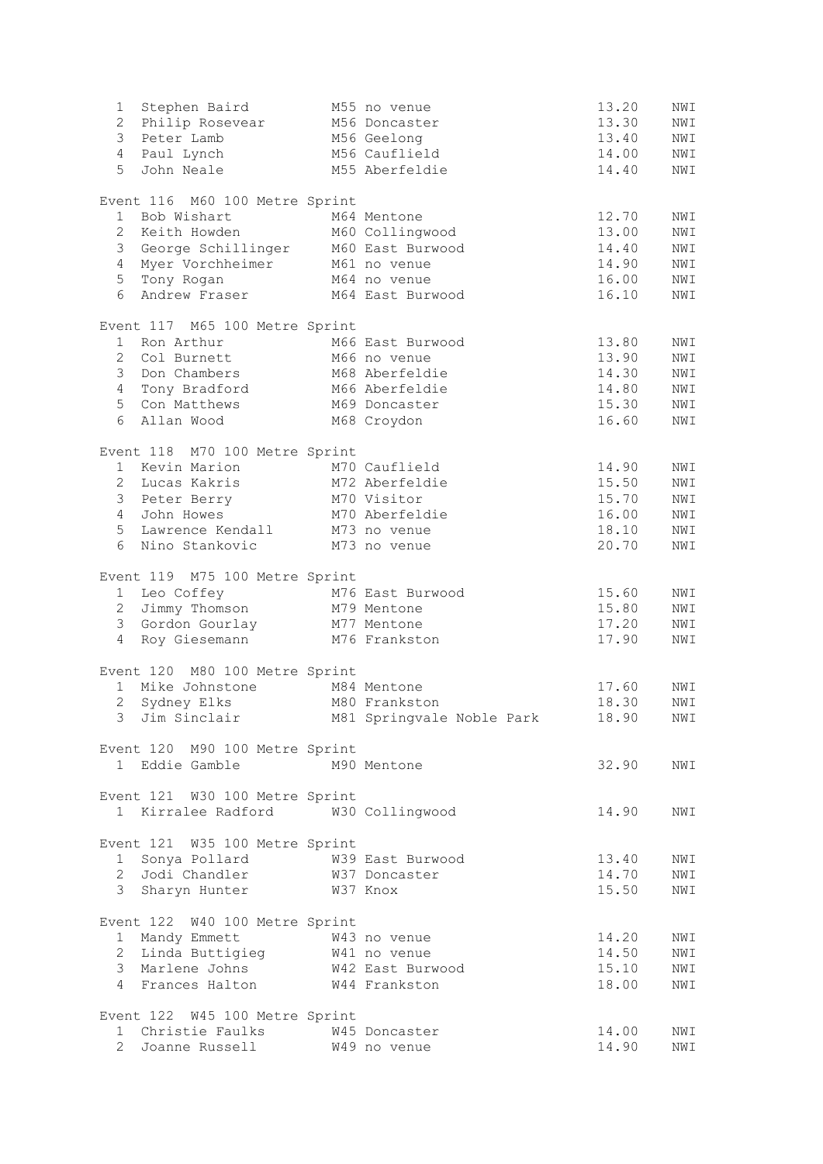| 1               | Stephen Baird                                                 | M55 no venue                             | 13.20 | NWI |
|-----------------|---------------------------------------------------------------|------------------------------------------|-------|-----|
|                 | 2 Philip Rosevear                                             | M56 Doncaster                            | 13.30 | NWI |
|                 | 3 Peter Lamb                                                  | M56 Geelong                              | 13.40 | NWI |
|                 | 4 Paul Lynch M56 Cauflield                                    |                                          | 14.00 | NWI |
| 5               | John Neale M55 Aberfeldie                                     |                                          | 14.40 | NWI |
|                 | Event 116 M60 100 Metre Sprint                                |                                          |       |     |
| 1               | Bob Wishart                                                   | M64 Mentone                              | 12.70 | NWI |
|                 | 2 Keith Howden<br>3 C                                         | M60 Collingwood                          | 13.00 | NWI |
|                 | 3 George Schillinger M60 East Burwood                         |                                          | 14.40 | NWI |
| $4\overline{ }$ | Myer Vorchheimer M61 no venue                                 |                                          | 14.90 | NWI |
|                 | 5 Tony Rogan                                                  | M64 no venue                             | 16.00 | NWI |
| 6               | Andrew Fraser M64 East Burwood                                |                                          | 16.10 | NWI |
|                 | Event 117 M65 100 Metre Sprint                                |                                          |       |     |
| 1               | Ron Arthur                                                    | M66 East Burwood                         | 13.80 | NWI |
|                 | 2 Col Burnett                                                 | M66 no venue                             | 13.90 | NWI |
|                 | 3 Don Chambers                                                | M68 Aberfeldie                           | 14.30 | NWI |
| $4\degree$      | Tony Bradford                                                 | M66 Aberfeldie                           | 14.80 | NWI |
|                 | 5 Con Matthews                                                | M69 Doncaster                            | 15.30 | NWI |
|                 | 6 Allan Wood                                                  | M68 Croydon                              | 16.60 | NWI |
|                 | Event 118 M70 100 Metre Sprint                                |                                          |       |     |
|                 | 1 Kevin Marion                                                | M70 Cauflield                            | 14.90 | NWI |
|                 | 2 Lucas Kakris                                                | M72 Aberfeldie                           | 15.50 | NWI |
|                 | 3 Peter Berry                                                 | M70 Visitor                              | 15.70 | NWI |
| $4 -$           | John Howes                                                    | M70 Aberfeldie                           | 16.00 | NWI |
| 5               | Lawrence Kendall M73 no venue                                 |                                          | 18.10 | NWI |
| 6               | Nino Stankovic                                                | M73 no venue                             | 20.70 | NWI |
|                 | Event 119 M75 100 Metre Sprint                                |                                          |       |     |
|                 | 1 Leo Coffey                                                  | M76 East Burwood                         | 15.60 | NWI |
|                 | 2 Jimmy Thomson M79 Mentone                                   |                                          | 15.80 | NWI |
|                 | 3 Gordon Gourlay M77 Mentone                                  |                                          | 17.20 | NWI |
|                 | 4 Roy Giesemann M76 Frankston                                 |                                          | 17.90 | NWI |
|                 | Event 120 M80 100 Metre Sprint                                |                                          |       |     |
|                 | 1 Mike Johnstone M84 Mentone                                  |                                          | 17.60 | NWI |
|                 | 2 Sydney Elks                                                 | M80 Frankston                            | 18.30 | NWI |
|                 |                                                               | 3 Jim Sinclair M81 Springvale Noble Park | 18.90 | NWI |
|                 | Event 120 M90 100 Metre Sprint                                |                                          |       |     |
|                 | 1 Eddie Gamble M90 Mentone                                    |                                          | 32.90 | NWI |
|                 | Event 121 W30 100 Metre Sprint                                |                                          |       |     |
|                 | 1 Kirralee Radford W30 Collingwood                            |                                          | 14.90 | NWI |
|                 | Event 121 W35 100 Metre Sprint                                |                                          |       |     |
|                 | 1 Sonya Pollard M39 East Burwood                              |                                          | 13.40 | NWI |
|                 | 2 Jodi Chandler M37 Doncaster                                 |                                          | 14.70 | NWI |
|                 | 3 Sharyn Hunter M37 Knox                                      |                                          | 15.50 | NWI |
|                 | Event 122 W40 100 Metre Sprint                                |                                          |       |     |
|                 |                                                               |                                          | 14.20 | NWI |
|                 | 1 Mandy Emmett 643 no venue<br>2 Linda Buttigieg 641 no venue |                                          | 14.50 | NWI |
|                 | 3 Marlene Johns                                               | W42 East Burwood                         | 15.10 | NWI |
|                 | 4 Frances Halton W44 Frankston                                |                                          | 18.00 | NWI |
|                 | Event 122 W45 100 Metre Sprint                                |                                          |       |     |
|                 | 1 Christie Faulks M45 Doncaster                               |                                          | 14.00 | NWI |
|                 | 2 Joanne Russell W49 no venue                                 |                                          | 14.90 | NWI |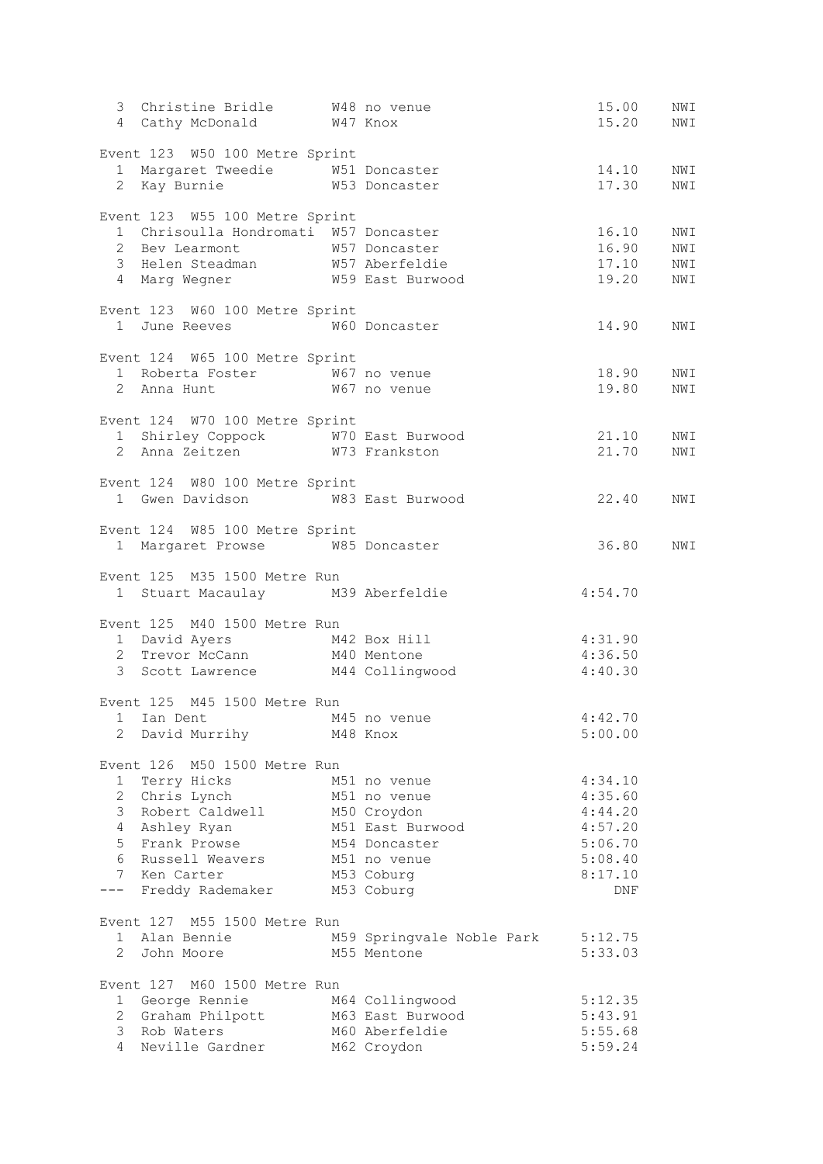| 3 Christine Bridle W48 no venue<br>4 Cathy McDonald W47 Knox                                                          |                                    | 15.00<br>15.20     | NWI<br>NWI |
|-----------------------------------------------------------------------------------------------------------------------|------------------------------------|--------------------|------------|
|                                                                                                                       |                                    |                    |            |
| Event 123 W50 100 Metre Sprint<br>1 Margaret Tweedie M51 Doncaster                                                    |                                    | 14.10              | NWI        |
| 2 Kay Burnie M53 Doncaster                                                                                            |                                    | 17.30              | NWI        |
|                                                                                                                       |                                    |                    |            |
| Event 123 W55 100 Metre Sprint                                                                                        |                                    |                    |            |
| 1 Chrisoulla Hondromati W57 Doncaster                                                                                 |                                    | 16.10              | NWI        |
|                                                                                                                       |                                    | 16.90              | NWI<br>NWI |
| 2 Bev Learmont M57 Doncaster<br>3 Helen Steadman M57 Aberfeldie<br>4 Marg Wegner M59 East Burwood                     |                                    | 17.10<br>19.20     | NWI        |
|                                                                                                                       |                                    |                    |            |
| Event 123 W60 100 Metre Sprint                                                                                        |                                    |                    |            |
| 1 June Reeves M60 Doncaster                                                                                           |                                    | 14.90              | NWI        |
| Event 124 W65 100 Metre Sprint                                                                                        |                                    |                    |            |
|                                                                                                                       |                                    | 18.90              | NWI        |
| 1 Roberta Foster 50 W67 no venue<br>2 Anna Hunt 50 W67 no venue                                                       |                                    | 19.80              | NWI        |
|                                                                                                                       |                                    |                    |            |
| Event 124 W70 100 Metre Sprint                                                                                        |                                    |                    |            |
| 1 Shirley Coppock M70 East Burwood<br>2 Anna Zeitzen M73 Frankston                                                    |                                    | 21.10              | NWI        |
|                                                                                                                       |                                    | 21.70              | NWI        |
| Event 124 W80 100 Metre Sprint                                                                                        |                                    |                    |            |
| 1 Gwen Davidson M83 East Burwood                                                                                      |                                    | 22.40              | NWI        |
|                                                                                                                       |                                    |                    |            |
| Event 124 W85 100 Metre Sprint                                                                                        |                                    |                    |            |
| 1 Margaret Prowse W85 Doncaster                                                                                       |                                    | 36.80              | NWI        |
| Event 125 M35 1500 Metre Run                                                                                          |                                    |                    |            |
| 1 Stuart Macaulay M39 Aberfeldie                                                                                      |                                    | 4:54.70            |            |
|                                                                                                                       |                                    |                    |            |
| Event 125 M40 1500 Metre Run                                                                                          |                                    |                    |            |
|                                                                                                                       |                                    |                    |            |
| 1 David Ayers M42 Box Hill 4:31.90<br>2 Trevor McCann M40 Mentone 4:36.50<br>3 Scott Lawrence M44 Collingwood 4:40.30 |                                    |                    |            |
|                                                                                                                       |                                    |                    |            |
| Event 125 M45 1500 Metre Run                                                                                          |                                    |                    |            |
| 1 Ian Dent M45 no venue                                                                                               |                                    | 4:42.70            |            |
| 2 David Murrihy                                                                                                       | M48 Knox                           | 5:00.00            |            |
|                                                                                                                       |                                    |                    |            |
| Event 126 M50 1500 Metre Run                                                                                          |                                    |                    |            |
| Terry Hicks<br>$1 \quad$                                                                                              | M51 no venue                       | 4:34.10            |            |
| 2 Chris Lynch<br>3 Robert Caldwell                                                                                    | M51 no venue<br>M50 Croydon        | 4:35.60<br>4:44.20 |            |
| 4 Ashley Ryan                                                                                                         | M51 East Burwood                   | 4:57.20            |            |
| 5 Frank Prowse                                                                                                        | M54 Doncaster                      | 5:06.70            |            |
| 6<br>Russell Weavers                                                                                                  | M51 no venue                       | 5:08.40            |            |
| 7 Ken Carter                                                                                                          | M53 Coburg                         | 8:17.10            |            |
| Freddy Rademaker<br>$---$                                                                                             | M53 Coburg                         | DNF                |            |
| Event 127 M55 1500 Metre Run                                                                                          |                                    |                    |            |
| 1 Alan Bennie                                                                                                         | M59 Springvale Noble Park          | 5:12.75            |            |
| $\overline{2}$<br>John Moore                                                                                          | M55 Mentone                        | 5:33.03            |            |
|                                                                                                                       |                                    |                    |            |
| Event 127 M60 1500 Metre Run                                                                                          |                                    |                    |            |
| 1 George Rennie                                                                                                       | M64 Collingwood                    | 5:12.35            |            |
| 2 Graham Philpott<br>3<br>Rob Waters                                                                                  | M63 East Burwood<br>M60 Aberfeldie | 5:43.91            |            |
| 4<br>Neville Gardner                                                                                                  | M62 Croydon                        | 5:55.68<br>5:59.24 |            |
|                                                                                                                       |                                    |                    |            |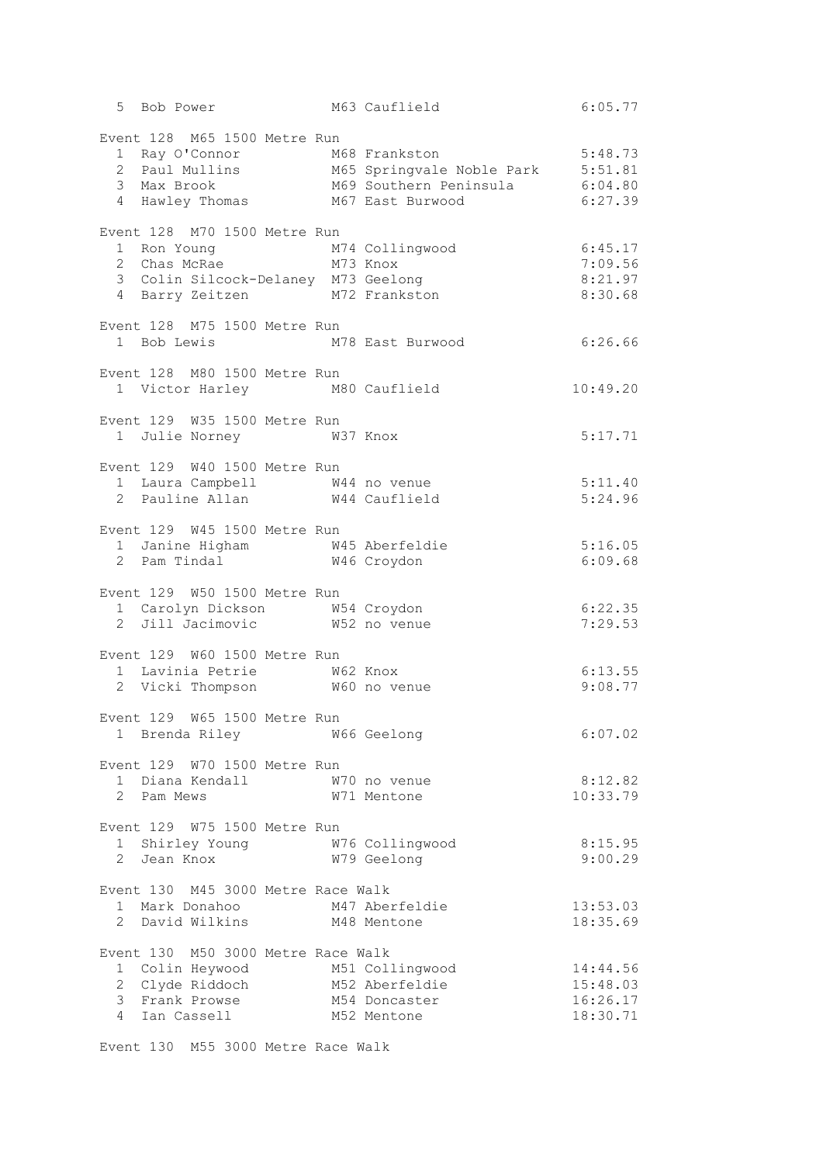|                                                                                                                                                              |  | 5 Bob Power M63 Cauflield 6:05.77                                                                                                                 |                                              |
|--------------------------------------------------------------------------------------------------------------------------------------------------------------|--|---------------------------------------------------------------------------------------------------------------------------------------------------|----------------------------------------------|
| Event 128 M65 1500 Metre Run<br>4 Hawley Thomas M67 East Burwood                                                                                             |  | 1 Ray O'Connor M68 Frankston 5:48.73<br>2 Paul Mullins M65 Springvale Noble Park 5:51.81<br>3 Max Brook M69 Southern Peninsula 6:04.80<br>6:27.39 |                                              |
| Event 128 M70 1500 Metre Run<br>1 Ron Young M74 Collingwood<br>2 Chas McRae M73 Knox<br>3 Colin Silcock-Delaney M73 Geelong<br>4 Barry Zeitzen M72 Frankston |  |                                                                                                                                                   | 6:45.17<br>7:09.56<br>8:21.97<br>8:30.68     |
| Event 128 M75 1500 Metre Run                                                                                                                                 |  | 1 Bob Lewis M78 East Burwood                                                                                                                      | 6:26.66                                      |
| Event 128 M80 1500 Metre Run                                                                                                                                 |  | 1 Victor Harley M80 Cauflield                                                                                                                     | 10:49.20                                     |
| Event 129 W35 1500 Metre Run<br>1 Julie Norney 1 W37 Knox                                                                                                    |  |                                                                                                                                                   | 5:17.71                                      |
| Event 129 W40 1500 Metre Run<br>1 Laura Campbell W44 no venue<br>2 Pauline Allan M44 Cauflield                                                               |  |                                                                                                                                                   | 5:11.40<br>5:24.96                           |
| Event 129 W45 1500 Metre Run<br>1 Janine Higham 1 1 W45 Aberfeldie<br>2 Pam Tindal 1 1 146 Croydon                                                           |  |                                                                                                                                                   | 5:16.05<br>6:09.68                           |
| Event 129 W50 1500 Metre Run<br>1 Carolyn Dickson 1 654 Croydon<br>2 Jill Jacimovic 1652 no venue                                                            |  |                                                                                                                                                   | 6:22.35<br>7:29.53                           |
| Event 129 W60 1500 Metre Run<br>1 Lavinia Petrie M62 Knox<br>2 Vicki Thompson M60 no venue                                                                   |  |                                                                                                                                                   | 6:13.55<br>9:08.77                           |
| Event 129 W65 1500 Metre Run<br>1 Brenda Riley M66 Geelong                                                                                                   |  |                                                                                                                                                   | 6:07.02                                      |
| Event 129 W70 1500 Metre Run<br>1 Diana Kendall<br>2 Pam Mews                                                                                                |  | W70 no venue<br>W71 Mentone                                                                                                                       | 8:12.82<br>10:33.79                          |
| Event 129 W75 1500 Metre Run                                                                                                                                 |  |                                                                                                                                                   | 8:15.95<br>9:00.29                           |
| Event 130 M45 3000 Metre Race Walk<br>1 Mark Donahoo M47 Aberfeldie<br>2 David Wilkins M48 Mentone                                                           |  |                                                                                                                                                   | 13:53.03<br>18:35.69                         |
| Event 130 M50 3000 Metre Race Walk<br>1 Colin Heywood M51 Collingwood<br>2 Clyde Riddoch<br>3 Frank Prowse<br>4 Ian Cassell                                  |  | M52 Aberfeldie<br>M54 Doncaster<br>M52 Mentone                                                                                                    | 14:44.56<br>15:48.03<br>16:26.17<br>18:30.71 |

Event 130 M55 3000 Metre Race Walk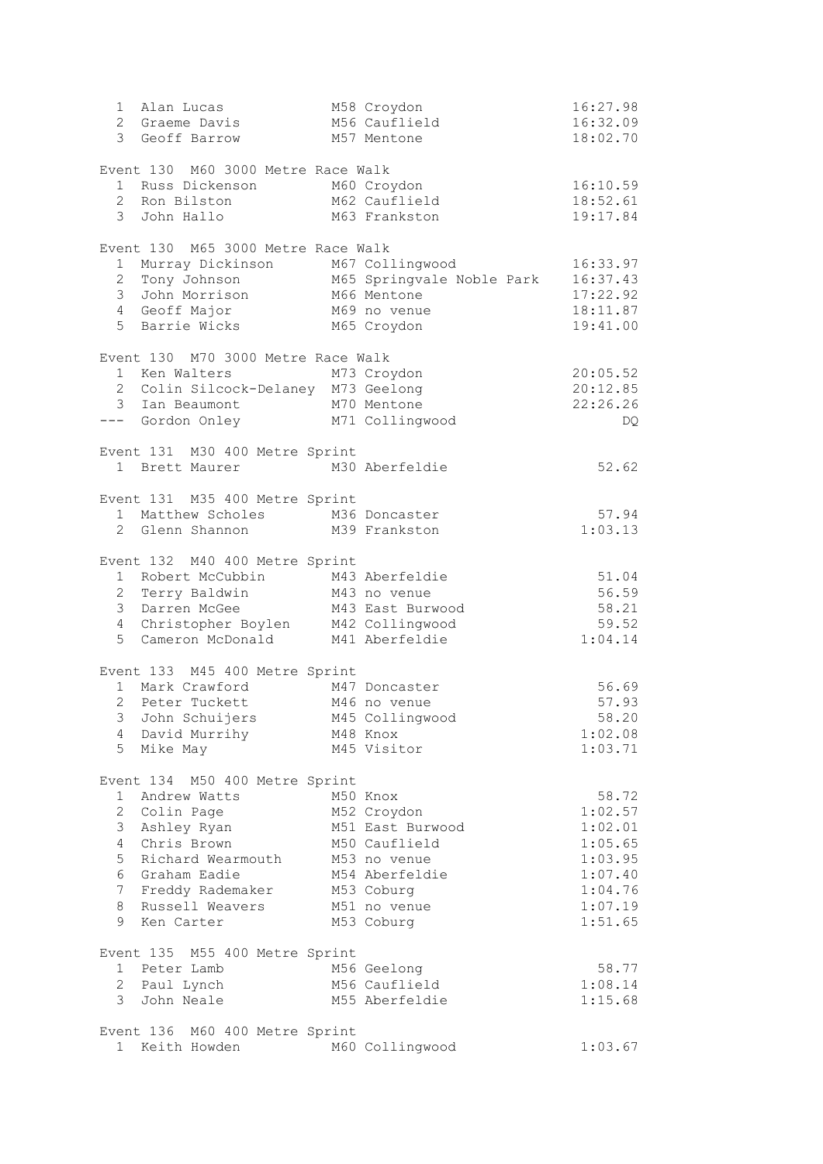| $1 \quad$      | Alan Lucas                                                     | M58 Croydon      | 16:27.98 |
|----------------|----------------------------------------------------------------|------------------|----------|
|                | 2 Graeme Davis                                                 | M56 Cauflield    | 16:32.09 |
|                | 3 Geoff Barrow                                                 | M57 Mentone      | 18:02.70 |
|                |                                                                |                  |          |
|                | Event 130 M60 3000 Metre Race Walk                             |                  |          |
|                | 1 Russ Dickenson M60 Croydon                                   |                  | 16:10.59 |
|                | 2 Ron Bilston M62 Cauflield                                    |                  | 18:52.61 |
|                | 3 John Hallo                                                   | M63 Frankston    | 19:17.84 |
|                |                                                                |                  |          |
|                | Event 130 M65 3000 Metre Race Walk                             |                  |          |
|                |                                                                |                  | 16:33.97 |
|                |                                                                |                  | 16:37.43 |
|                | 3 John Morrison                                                | M66 Mentone      | 17:22.92 |
|                | 4 Geoff Major                                                  | M69 no venue     | 18:11.87 |
|                | 5 Barrie Wicks                                                 | M65 Croydon      | 19:41.00 |
|                |                                                                |                  |          |
|                | Event 130 M70 3000 Metre Race Walk                             |                  |          |
|                | 1 Ken Walters                                                  | M73 Croydon      | 20:05.52 |
|                | 2 Colin Silcock-Delaney M73 Geelong                            |                  | 20:12.85 |
|                | 3 Ian Beaumont M70 Mentone<br>--- Gordon Onley M71 Collingwood |                  | 22:26.26 |
|                |                                                                |                  | DQ.      |
|                |                                                                |                  |          |
|                | Event 131 M30 400 Metre Sprint                                 |                  |          |
|                | 1 Brett Maurer M30 Aberfeldie                                  |                  | 52.62    |
|                |                                                                |                  |          |
|                | Event 131 M35 400 Metre Sprint                                 |                  |          |
|                | 1 Matthew Scholes M36 Doncaster                                |                  | 57.94    |
|                | 2 Glenn Shannon                                                | M39 Frankston    | 1:03.13  |
|                |                                                                |                  |          |
|                | Event 132 M40 400 Metre Sprint                                 |                  |          |
|                | 1 Robert McCubbin M43 Aberfeldie                               |                  | 51.04    |
|                | 2 Terry Baldwin M43 no venue                                   |                  | 56.59    |
|                | 3 Darren McGee                                                 | M43 East Burwood | 58.21    |
|                | 4 Christopher Boylen M42 Collingwood                           |                  | 59.52    |
|                | 5 Cameron McDonald M41 Aberfeldie                              |                  | 1:04.14  |
|                |                                                                |                  |          |
|                | Event 133 M45 400 Metre Sprint                                 |                  |          |
|                | 1 Mark Crawford M47 Doncaster                                  |                  | 56.69    |
|                | 2 Peter Tuckett M46 no venue                                   |                  | 57.93    |
|                | 3 John Schuijers M45 Collingwood                               |                  | 58.20    |
|                | 4 David Murrihy                                                | M48 Knox         | 1:02.08  |
|                | 5 Mike May                                                     | M45 Visitor      | 1:03.71  |
|                |                                                                |                  |          |
|                | Event 134 M50 400 Metre Sprint                                 |                  |          |
|                | 1 Andrew Watts                                                 | M50 Knox         | 58.72    |
|                | 2 Colin Page                                                   | M52 Croydon      | 1:02.57  |
|                | 3 Ashley Ryan                                                  | M51 East Burwood | 1:02.01  |
|                | 4 Chris Brown                                                  | M50 Cauflield    | 1:05.65  |
| 5 <sup>5</sup> | Richard Wearmouth                                              | M53 no venue     | 1:03.95  |
|                | 6 Graham Eadie                                                 | M54 Aberfeldie   | 1:07.40  |
|                | 7 Freddy Rademaker                                             | M53 Coburg       | 1:04.76  |
| 8              | Russell Weavers                                                | M51 no venue     | 1:07.19  |
| 9              | Ken Carter                                                     | M53 Coburg       | 1:51.65  |
|                |                                                                |                  |          |
|                | Event 135 M55 400 Metre Sprint                                 |                  |          |
|                | 1 Peter Lamb                                                   | M56 Geelong      | 58.77    |
|                | 2 Paul Lynch                                                   | M56 Cauflield    | 1:08.14  |
|                | 3 John Neale                                                   | M55 Aberfeldie   | 1:15.68  |
|                |                                                                |                  |          |
|                | Event 136 M60 400 Metre Sprint                                 |                  |          |
|                | 1 Keith Howden                                                 | M60 Collingwood  | 1:03.67  |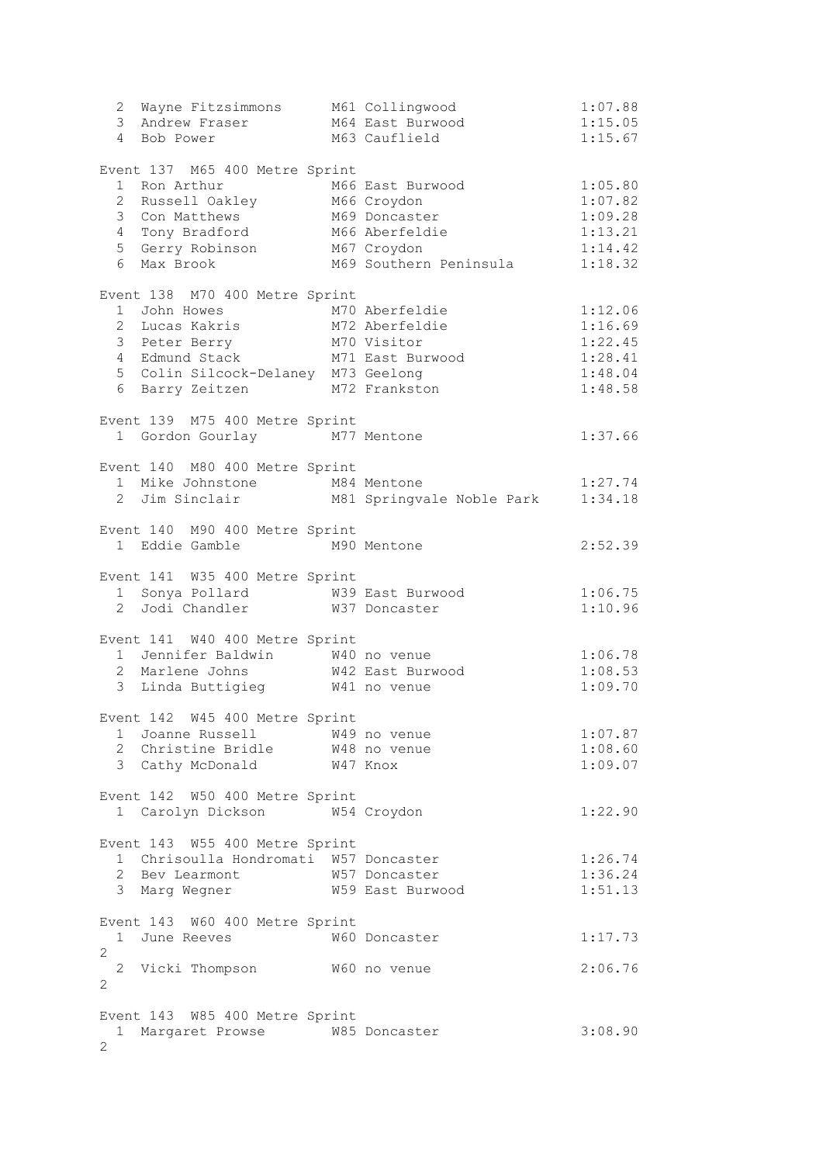|                       | 2 Wayne Fitzsimmons M61 Collingwood<br>3 Andrew Fraser<br>4 Bob Power                                                                                                                                     | M64 East Burwood<br>M63 Cauflield          | 1:07.88<br>1:15.05<br>1:15.67                                  |
|-----------------------|-----------------------------------------------------------------------------------------------------------------------------------------------------------------------------------------------------------|--------------------------------------------|----------------------------------------------------------------|
|                       | Event 137 M65 400 Metre Sprint<br>1 Ron Arthur<br>2 Russell Oakley M66 Croydon<br>3 Con Matthews M69 Doncaster<br>4 Tony Bradford M66 Aberfeldie<br>5 Gerry Robinson M67 Croydon<br>6 Max Brook           | M66 East Burwood<br>M69 Southern Peninsula | 1:05.80<br>1:07.82<br>1:09.28<br>1:13.21<br>1:14.42<br>1:18.32 |
|                       | Event 138 M70 400 Metre Sprint<br>1 John Howes<br>2 Lucas Kakris M72 Aberfeldie<br>3 Peter Berry M70 Visitor<br>4 Edmund Stack M71 East Burwood<br>5 Colin Silcock-Delaney M73 Geelong<br>6 Barry Zeitzen | M70 Aberfeldie<br>M72 Frankston            | 1:12.06<br>1:16.69<br>1:22.45<br>1:28.41<br>1:48.04<br>1:48.58 |
|                       | Event 139 M75 400 Metre Sprint<br>1 Gordon Gourlay M77 Mentone                                                                                                                                            |                                            | 1:37.66                                                        |
|                       | Event 140 M80 400 Metre Sprint<br>1 Mike Johnstone M84 Mentone                                                                                                                                            | 2 Jim Sinclair M81 Springvale Noble Park   | 1:27.74<br>1:34.18                                             |
|                       | Event 140 M90 400 Metre Sprint<br>1 Eddie Gamble M90 Mentone                                                                                                                                              |                                            | 2:52.39                                                        |
|                       | Event 141 W35 400 Metre Sprint<br>1 Sonya Pollard M39 East Burwood<br>2 Jodi Chandler M37 Doncaster                                                                                                       |                                            | 1:06.75<br>1:10.96                                             |
|                       | Event 141 W40 400 Metre Sprint<br>1 Jennifer Baldwin W40 no venue<br>2 Marlene Johns M42 East Burwood<br>3 Linda Buttigieg W41 no venue                                                                   |                                            | 1:06.78<br>1:08.53<br>1:09.70                                  |
|                       | Event 142 W45 400 Metre Sprint<br>1 Joanne Russell W49 no venue<br>2 Christine Bridle W48 no venue<br>3 Cathy McDonald W47 Knox                                                                           |                                            | 1:07.87<br>1:08.60<br>1:09.07                                  |
|                       | Event 142 W50 400 Metre Sprint<br>1 Carolyn Dickson W54 Croydon                                                                                                                                           |                                            | 1:22.90                                                        |
|                       | Event 143 W55 400 Metre Sprint<br>1 Chrisoulla Hondromati W57 Doncaster<br>2 Bev Learmont M57 Doncaster<br>3 Marg Wegner M59 East Burwood                                                                 |                                            | 1:26.74<br>1:36.24<br>1:51.13                                  |
| $\overline{2}$        | Event 143 W60 400 Metre Sprint<br>1 June Reeves 60 W60 Doncaster                                                                                                                                          |                                            | 1:17.73                                                        |
| 2                     | 2 Vicki Thompson W60 no venue                                                                                                                                                                             |                                            | 2:06.76                                                        |
| $\mathbf{2}^{\prime}$ | Event 143 W85 400 Metre Sprint<br>1 Margaret Prowse W85 Doncaster                                                                                                                                         |                                            | 3:08.90                                                        |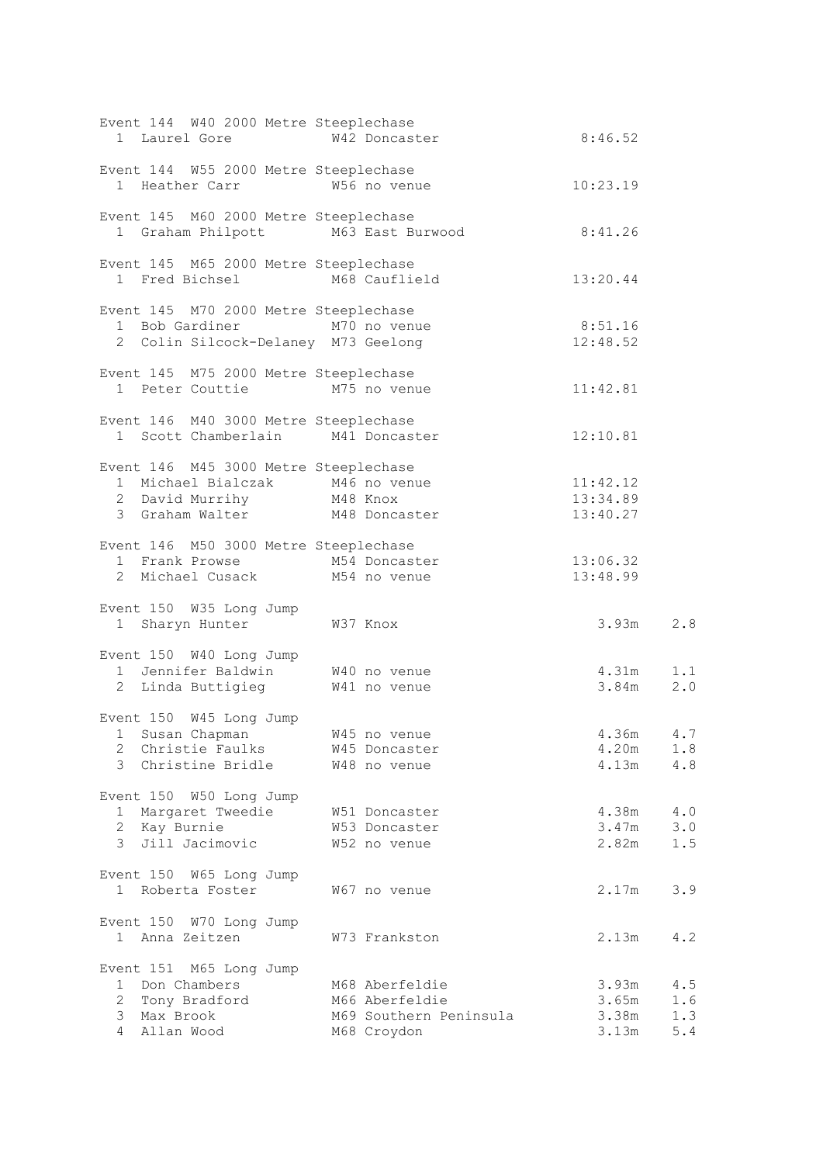| Event 144 W40 2000 Metre Steeplechase<br>1 Laurel Gore 67 W42 Doncaster                                                               |                                                                                                                         | 8:46.52                                                    |
|---------------------------------------------------------------------------------------------------------------------------------------|-------------------------------------------------------------------------------------------------------------------------|------------------------------------------------------------|
| Event 144 W55 2000 Metre Steeplechase                                                                                                 | 1 Heather Carr W <sub>56</sub> no venue 10:23.19                                                                        |                                                            |
| Event 145 M60 2000 Metre Steeplechase                                                                                                 | 1 Graham Philpott M63 East Burwood 8:41.26                                                                              |                                                            |
| Event 145 M65 2000 Metre Steeplechase                                                                                                 | 1 Fred Bichsel M68 Cauflield 13:20.44                                                                                   |                                                            |
| Event 145 M70 2000 Metre Steeplechase                                                                                                 | 1 Bob Gardiner M70 no venue 8:51.16<br>2 Colin Silcock-Delaney M73 Geelong 12:48.52                                     |                                                            |
| Event 145 M75 2000 Metre Steeplechase                                                                                                 |                                                                                                                         |                                                            |
| 1 Peter Couttie M75 no venue                                                                                                          |                                                                                                                         | 11:42.81                                                   |
| Event 146 M40 3000 Metre Steeplechase<br>1 Scott Chamberlain M41 Doncaster                                                            |                                                                                                                         | 12:10.81                                                   |
| Event 146 M45 3000 Metre Steeplechase                                                                                                 | 1 Michael Bialczak $M_4$ 6 no venue 11:42.12<br>2 David Murrihy 13:34.89<br>3 Graham Walter 13:40.27                    |                                                            |
| Event 146 M50 3000 Metre Steeplechase                                                                                                 | vent 146 M50 3000 Metre Steeplechase<br>1 Frank Prowse M54 Doncaster 13:06.32<br>2 Michael Cusack M54 no venue 13:48.99 |                                                            |
| Event 150 W35 Long Jump<br>1 Sharyn Hunter W37 Knox                                                                                   |                                                                                                                         | $3.93m$ 2.8                                                |
|                                                                                                                                       | Event 150 W40 Long Jump<br>1 Jennifer Baldwin W40 no venue 4.31m 1.1<br>2 Linda Buttigieg W41 no venue 3.84m 2.0        |                                                            |
|                                                                                                                                       |                                                                                                                         |                                                            |
| Event 150 W45 Long Jump<br>1 Susan Chapman M45 no venue<br>2 Christie Faulks W45 Doncaster                                            |                                                                                                                         | 4.36m 4.7<br>4.20m<br>1.8                                  |
| 3 Christine Bridle M48 no venue                                                                                                       |                                                                                                                         | 4.13m 4.8                                                  |
| Event 150 W50 Long Jump<br>1 Margaret Tweedie 1 W51 Doncaster<br>2 Kay Burnie 1 W53 Doncaster<br>2   Kay Burnie<br>3   Jill Jacimovic | W52 no venue                                                                                                            | $4.38m$ $4.0$<br>$3.47m$ $3.0$<br>$2.82m$ $1.5$            |
| Event 150 W65 Long Jump<br>1 Roberta Foster M67 no venue                                                                              |                                                                                                                         | 2.17m<br>3.9                                               |
| Event 150 W70 Long Jump<br>1 Anna Zeitzen                                                                                             | W73 Frankston                                                                                                           | $2.13m$ 4.2                                                |
| Event 151 M65 Long Jump<br>1 Don Chambers<br>2 Tony Bradford<br>3 Max Brook<br>4 Allan Wood                                           | M68 Aberfeldie<br>M66 Aberfeldie<br>M69 Southern Peninsula<br>M68 Croydon                                               | $3.93m$ 4.5<br>$3.65m$ 1.6<br>3.38m<br>1.3<br>3.13m<br>5.4 |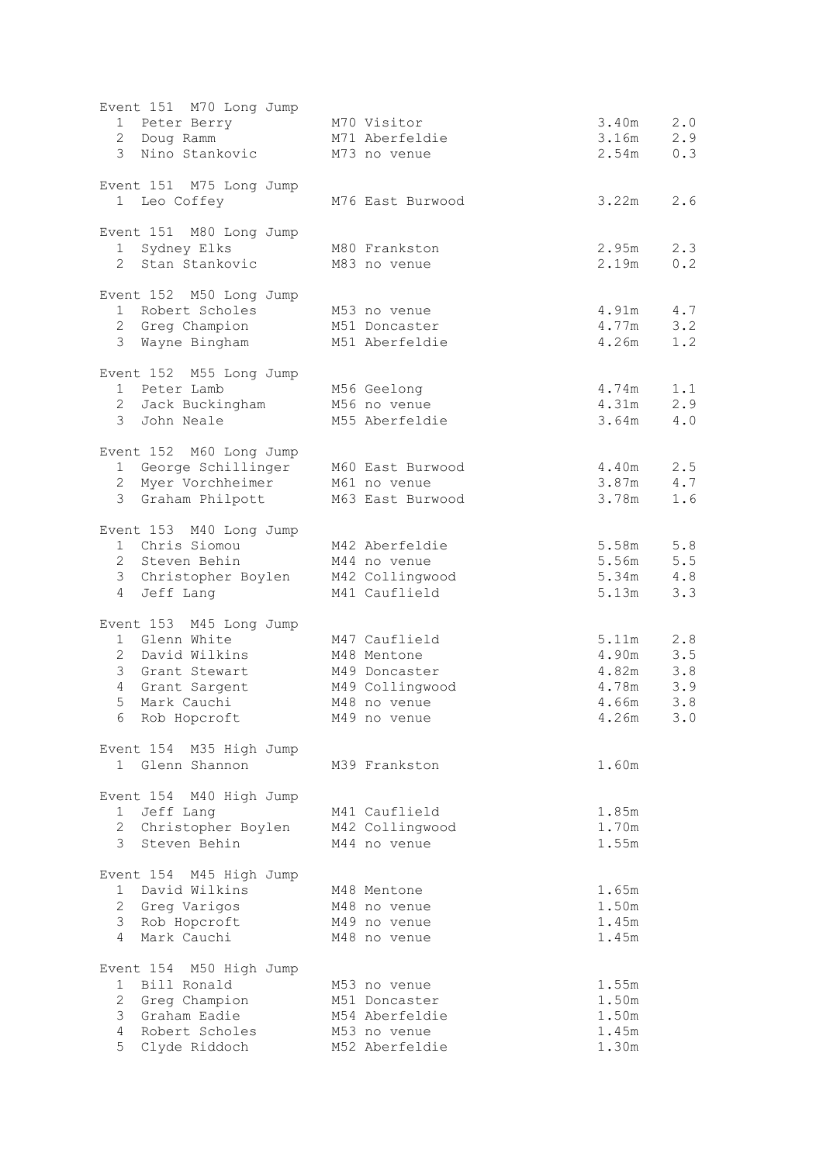| Event 151 M70 Long Jump                                         |                                 |                              |
|-----------------------------------------------------------------|---------------------------------|------------------------------|
| 1 Peter Berry M70 Visitor                                       |                                 | 2.0<br>3.40m                 |
| 2 Doug Ramm                                                     | M71 Aberfeldie                  | 2.9<br>3.16m                 |
| 3 Nino Stankovic M73 no venue                                   |                                 | 0.3<br>2.54m                 |
|                                                                 |                                 |                              |
| Event 151 M75 Long Jump                                         |                                 |                              |
| 1 Leo Coffey                                                    | M76 East Burwood                | 3.22m<br>2.6                 |
| Event 151 M80 Long Jump                                         |                                 |                              |
| 1 Sydney Elks                                                   | M80 Frankston                   | 2.95m<br>2.3                 |
| 2 Stan Stankovic                                                | M83 no venue                    | 2.19m<br>0.2                 |
| Event 152 M50 Long Jump                                         |                                 |                              |
| 1 Robert Scholes                                                | M53 no venue                    | 4.91m<br>4.7                 |
| 2 Greg Champion                                                 | M51 Doncaster                   | 4.77m<br>3.2                 |
| 3 Wayne Bingham                                                 | M51 Aberfeldie                  | 4.26m<br>1.2                 |
|                                                                 |                                 |                              |
| Event 152 M55 Long Jump<br>1 Peter Lamb                         | M56 Geelong                     | 4.74m<br>1.1                 |
| 2 Jack Buckingham M56 no venue                                  |                                 | 4.31m<br>2.9                 |
| 3 John Neale                                                    | M55 Aberfeldie                  | 3.64m<br>4.0                 |
|                                                                 |                                 |                              |
| Event 152 M60 Long Jump                                         |                                 |                              |
| 1 George Schillinger M60 East Burwood                           |                                 | 4.40m<br>2.5<br>3.87m<br>4.7 |
| 2 Myer Vorchheimer M61 no venue<br>3 Graham Philpott            | M63 East Burwood                | 3.78m<br>1.6                 |
|                                                                 |                                 |                              |
| Event 153 M40 Long Jump                                         |                                 |                              |
| 1 Chris Siomou                                                  | M42 Aberfeldie                  | 5.58m<br>5.8                 |
| 2 Steven Behin                                                  | M44 no venue                    | 5.56m<br>5.5                 |
| 3 Christopher Boylen M42 Collingwood<br>Jeff Lang<br>$4\degree$ | M41 Cauflield                   | 5.34m<br>4.8<br>5.13m<br>3.3 |
|                                                                 |                                 |                              |
| Event 153 M45 Long Jump                                         |                                 |                              |
| 1 Glenn White                                                   | M47 Cauflield                   | 5.11m<br>2.8                 |
| 2 David Wilkins                                                 | M48 Mentone                     | 3.5<br>4.90m                 |
| 3 Grant Stewart<br>4 Grant Sargent                              | M49 Doncaster                   | 4.82m<br>3.8<br>4.78m<br>3.9 |
| 5 <sup>1</sup><br>Mark Cauchi                                   | M49 Collingwood<br>M48 no venue | 3.8<br>4.66m                 |
| 6 Rob Hopcroft                                                  | M49 no venue                    | 4.26m<br>3.0                 |
|                                                                 |                                 |                              |
| Event 154 M35 High Jump                                         |                                 |                              |
| 1 Glenn Shannon                                                 | M39 Frankston                   | 1.60m                        |
| Event 154 M40 High Jump                                         |                                 |                              |
| 1 Jeff Lang                                                     | M41 Cauflield                   | 1.85m                        |
| 2 Christopher Boylen                                            | M42 Collingwood                 | 1.70m                        |
| $\mathcal{E}$<br>Steven Behin                                   | M44 no venue                    | 1.55m                        |
| Event 154 M45 High Jump                                         |                                 |                              |
| 1 David Wilkins                                                 | M48 Mentone                     | 1.65m                        |
| 2 Greg Varigos                                                  | M48 no venue                    | 1.50m                        |
| 3 Rob Hopcroft                                                  | M49 no venue                    | 1.45m                        |
| 4 Mark Cauchi                                                   | M48 no venue                    | 1.45m                        |
| Event 154 M50 High Jump                                         |                                 |                              |
| 1 Bill Ronald                                                   | M53 no venue                    | 1.55m                        |
| 2 Greg Champion                                                 | M51 Doncaster                   | 1.50m                        |
| 3 Graham Eadie                                                  | M54 Aberfeldie                  | 1.50m                        |
| Robert Scholes<br>4                                             | M53 no venue                    | 1.45m                        |
| 5<br>Clyde Riddoch                                              | M52 Aberfeldie                  | 1.30m                        |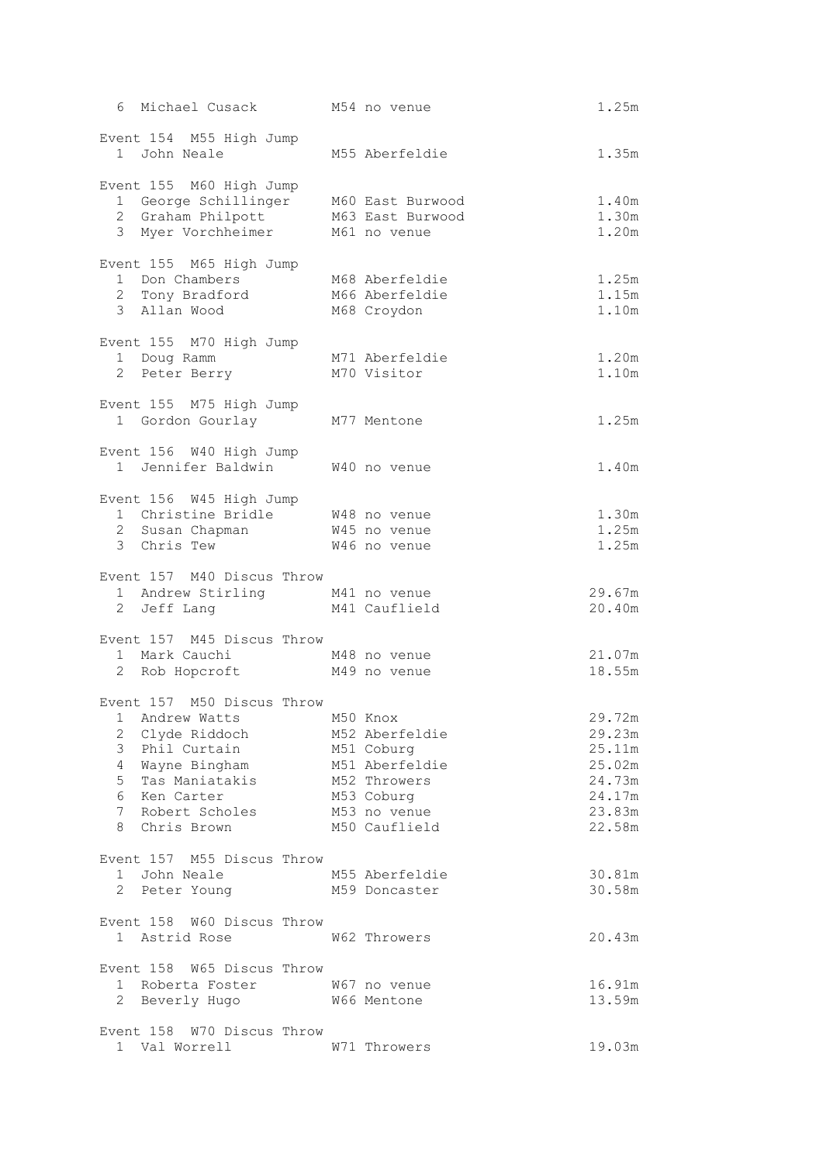| 6 Michael Cusack M54 no venue                                                                                                                                                                |                                                                                                               | 1.25m                                                                        |
|----------------------------------------------------------------------------------------------------------------------------------------------------------------------------------------------|---------------------------------------------------------------------------------------------------------------|------------------------------------------------------------------------------|
| Event 154 M55 High Jump<br>1 John Neale                                                                                                                                                      | M55 Aberfeldie                                                                                                | 1.35m                                                                        |
| Event 155 M60 High Jump<br>1 George Schillinger M60 East Burwood<br>2 Graham Philpott M63 East Burwood<br>3 Myer Vorchheimer                                                                 | M61 no venue                                                                                                  | 1.40m<br>1.30m<br>1.20m                                                      |
|                                                                                                                                                                                              |                                                                                                               |                                                                              |
| Event 155 M65 High Jump<br>1 Don Chambers<br>3 Allan Wood                                                                                                                                    | M68 Aberfeldie<br>M66 Aberfeldie<br>M68 Croydon                                                               | 1.25m<br>1.15m<br>1.10m                                                      |
| Event 155 M70 High Jump<br>1 Doug Ramm<br>2 Peter Berry                                                                                                                                      | M71 Aberfeldie<br>M70 Visitor                                                                                 | 1.20m<br>1.10m                                                               |
| Event 155 M75 High Jump<br>1 Gordon Gourlay M77 Mentone                                                                                                                                      |                                                                                                               | 1.25m                                                                        |
| Event 156 W40 High Jump<br>1 Jennifer Baldwin W40 no venue                                                                                                                                   |                                                                                                               | 1.40m                                                                        |
| Event 156 W45 High Jump<br>1 Christine Bridle M48 no venue<br>2 Susan Chapman M45 no venue<br>3 Chris Tew                                                                                    | W46 no venue                                                                                                  | 1.30m<br>1.25m<br>1.25m                                                      |
| Event 157 M40 Discus Throw<br>1 Andrew Stirling M41 no venue<br>2 Jeff Lang                                                                                                                  | M41 Cauflield                                                                                                 | 29.67m<br>20.40m                                                             |
| Event 157 M45 Discus Throw<br>1 Mark Cauchi M48 no venue<br>2 Rob Hopcroft M49 no venue                                                                                                      |                                                                                                               | 21.07m<br>18.55m                                                             |
| Event 157 M50 Discus Throw<br>1 Andrew Watts M50 Knox<br>2 Clyde Riddoch<br>3 Phil Curtain<br>4<br>Wayne Bingham<br>5<br>Tas Maniatakis<br>6 Ken Carter<br>7 Robert Scholes<br>8 Chris Brown | M52 Aberfeldie<br>M51 Coburg<br>M51 Aberfeldie<br>M52 Throwers<br>M53 Coburg<br>M53 no venue<br>M50 Cauflield | 29.72m<br>29.23m<br>25.11m<br>25.02m<br>24.73m<br>24.17m<br>23.83m<br>22.58m |
| Event 157 M55 Discus Throw<br>1 John Neale<br>2 Peter Young                                                                                                                                  | M55 Aberfeldie<br>M59 Doncaster                                                                               | 30.81m<br>30.58m                                                             |
| Event 158 W60 Discus Throw<br>1 Astrid Rose 62 Throwers                                                                                                                                      |                                                                                                               | 20.43m                                                                       |
| Event 158 W65 Discus Throw<br>1 Roberta Foster 5 67 no venue<br>2 Beverly Hugo 5 66 Mentone                                                                                                  |                                                                                                               | 16.91m<br>13.59m                                                             |
| Event 158 W70 Discus Throw<br>1 Val Worrell                                                                                                                                                  | W71 Throwers                                                                                                  | 19.03m                                                                       |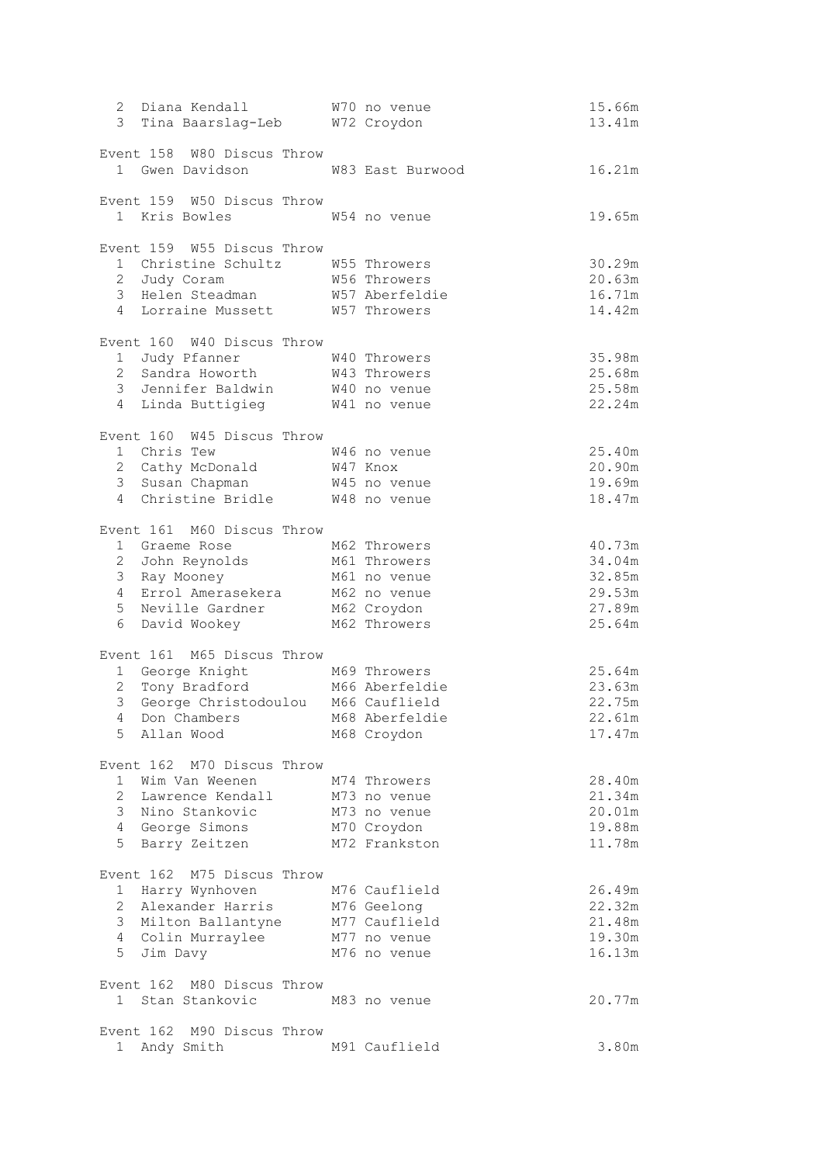| 2 Diana Kendall                 | 3 Tina Baarslag-Leb W72 Croydon                                    | W70 no venue             | 15.66m<br>13.41m |
|---------------------------------|--------------------------------------------------------------------|--------------------------|------------------|
|                                 | Event 158 W80 Discus Throw<br>1 Gwen Davidson M83 East Burwood     |                          | 16.21m           |
|                                 | Event 159 W50 Discus Throw<br>1 Kris Bowles                        | W54 no venue             | 19.65m           |
|                                 | Event 159 W55 Discus Throw                                         |                          |                  |
|                                 | 1 Christine Schultz M55 Throwers                                   |                          | 30.29m           |
| 2 Judy Coram                    |                                                                    | W56 Throwers             | 20.63m<br>16.71m |
|                                 | 3 Helen Steadman M57 Aberfeldie<br>4 Lorraine Mussett M57 Throwers |                          | 14.42m           |
|                                 | Event 160 W40 Discus Throw                                         |                          |                  |
| 1 Judy Pfanner                  |                                                                    | W40 Throwers             | 35.98m           |
|                                 | 2 Sandra Howorth W43 Throwers                                      |                          | 25.68m           |
|                                 | 3 Jennifer Baldwin W40 no venue                                    |                          | 25.58m<br>22.24m |
|                                 | 4 Linda Buttigieg 641 no venue                                     |                          |                  |
|                                 | Event 160 W45 Discus Throw                                         |                          |                  |
| 1 Chris Tew<br>2 Cathy McDonald |                                                                    | W46 no venue             | 25.40m           |
| 3 Susan Chapman                 |                                                                    | W47 Knox<br>W45 no venue | 20.90m<br>19.69m |
| 4                               | Christine Bridle                                                   | W48 no venue             | 18.47m           |
|                                 |                                                                    |                          |                  |
|                                 | Event 161 M60 Discus Throw                                         |                          |                  |
| 1 Graeme Rose                   |                                                                    | M62 Throwers             | 40.73m           |
| 2 John Reynolds                 |                                                                    | M61 Throwers             | 34.04m           |
| 3 Ray Mooney                    |                                                                    | M61 no venue             | 32.85m           |
|                                 | 4 Errol Amerasekera<br>5 Neville Gardner                           | M62 no venue             | 29.53m           |
|                                 |                                                                    | M62 Croydon              | 27.89m           |
| 6<br>David Wookey               |                                                                    | M62 Throwers             | 25.64m           |
| Event 161                       | M65 Discus Throw                                                   |                          |                  |
|                                 | 1 George Knight                                                    | M69 Throwers             | 25.64m           |
|                                 | 2 Tony Bradford M66 Aberfeldie                                     |                          | 23.63m           |
|                                 | 3 George Christodoulou M66 Cauflield                               |                          | 22.75m           |
|                                 | 4 Don Chambers M68 Aberfeldie                                      |                          | 22.61m           |
| 5 Allan Wood                    |                                                                    | M68 Croydon              | 17.47m           |
|                                 | Event 162 M70 Discus Throw                                         |                          |                  |
| Wim Van Weenen<br>1             |                                                                    | M74 Throwers             | 28.40m           |
| $\mathbf{2}$                    | Lawrence Kendall                                                   | M73 no venue             | 21.34m           |
| 3 Nino Stankovic                |                                                                    | M73 no venue             | 20.01m           |
| 4 George Simons                 |                                                                    | M70 Croydon              | 19.88m           |
| 5 Barry Zeitzen                 |                                                                    | M72 Frankston            | 11.78m           |
|                                 | Event 162 M75 Discus Throw                                         |                          |                  |
| 1 Harry Wynhoven                |                                                                    | M76 Cauflield            | 26.49m           |
| $\overline{2}$                  | Alexander Harris                                                   | M76 Geelong              | 22.32m           |
| 3 Milton Ballantyne             |                                                                    | M77 Cauflield            | 21.48m           |
| 4 Colin Murraylee               |                                                                    | M77 no venue             | 19.30m           |
| 5<br>Jim Davy                   |                                                                    | M76 no venue             | 16.13m           |
|                                 | Event 162 M80 Discus Throw                                         |                          |                  |
| 1 Stan Stankovic                |                                                                    | M83 no venue             | 20.77m           |
|                                 | Event 162 M90 Discus Throw                                         |                          |                  |
| 1 Andy Smith                    |                                                                    | M91 Cauflield            | 3.80m            |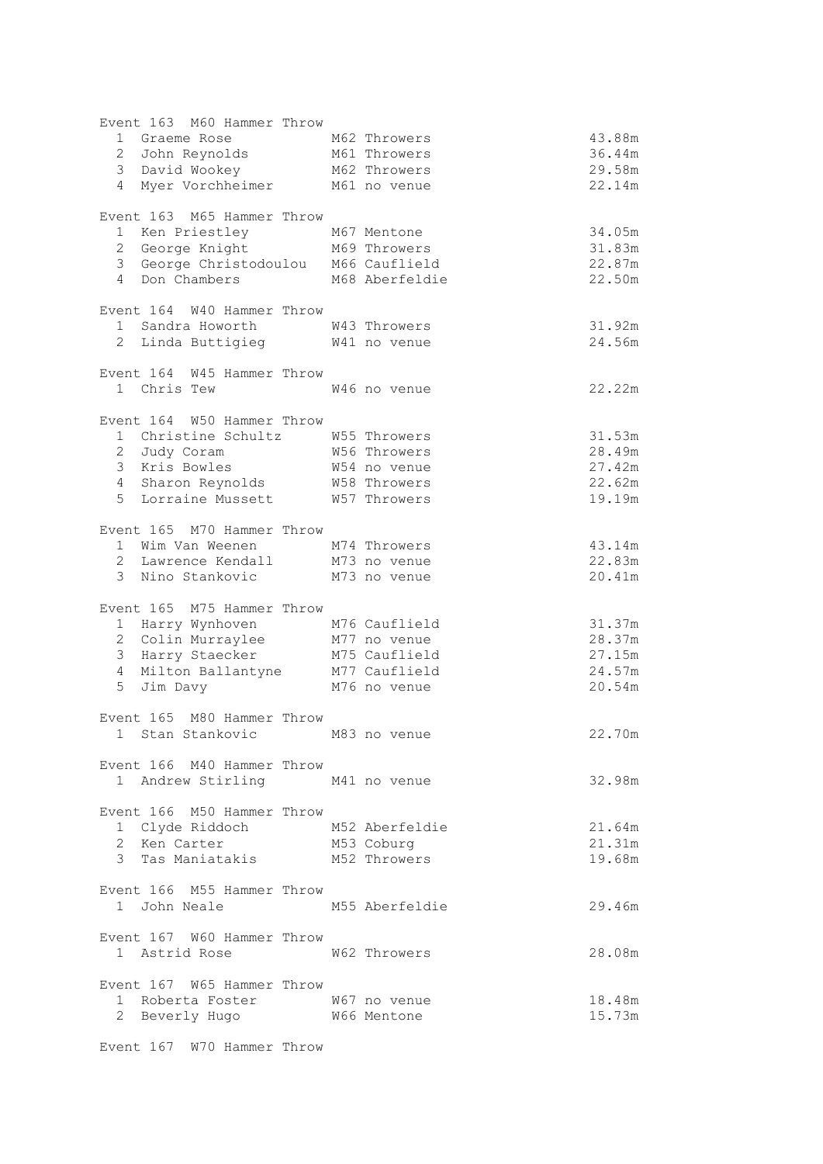| Event 163 M60 Hammer Throw                                    |                |        |
|---------------------------------------------------------------|----------------|--------|
| 1 Graeme Rose                                                 | M62 Throwers   | 43.88m |
| 2 John Reynolds M61 Throwers                                  |                | 36.44m |
| 3 <sup>7</sup><br>David Wookey                                | M62 Throwers   | 29.58m |
| Myer Vorchheimer M61 no venue<br>$\overline{4}$               |                | 22.14m |
|                                                               |                |        |
| Event 163 M65 Hammer Throw                                    |                |        |
|                                                               |                | 34.05m |
| 1 Ken Priestley M67 Mentone<br>2 George Knight M69 Throwers   |                | 31.83m |
| 3 George Christodoulou M66 Cauflield                          |                | 22.87m |
| 4 Don Chambers                                                | M68 Aberfeldie | 22.50m |
|                                                               |                |        |
| Event 164 W40 Hammer Throw                                    |                |        |
| 1 Sandra Howorth W43 Throwers                                 |                | 31.92m |
| 2 Linda Buttigieg M41 no venue                                |                | 24.56m |
|                                                               |                |        |
| Event 164 W45 Hammer Throw                                    |                |        |
| 1 Chris Tew                                                   | W46 no venue   | 22.22m |
|                                                               |                |        |
| Event 164 W50 Hammer Throw                                    |                |        |
| 1 Christine Schultz M55 Throwers                              |                | 31.53m |
| 2 Judy Coram                                                  | W56 Throwers   | 28.49m |
| 3 Kris Bowles                                                 | W54 no venue   | 27.42m |
| 4 Sharon Reynolds W58 Throwers                                |                | 22.62m |
| 5 Lorraine Mussett M57 Throwers                               |                | 19.19m |
|                                                               |                |        |
| Event 165 M70 Hammer Throw                                    |                |        |
| 1 Wim Van Weenen M74 Throwers                                 |                | 43.14m |
| 2 Lawrence Kendall M73 no venue                               |                | 22.83m |
| 3 Nino Stankovic M73 no venue                                 |                | 20.41m |
|                                                               |                |        |
| Event 165 M75 Hammer Throw                                    |                |        |
| 1 Harry Wynhoven                                              | M76 Cauflield  | 31.37m |
| 2 Colin Murraylee                                             | M77 no venue   | 28.37m |
| 3 Harry Staecker                                              | M75 Cauflield  | 27.15m |
|                                                               |                | 24.57m |
| 4 Milton Ballantyne<br>5 Jim Davy<br>5 Jim Davy<br>5 Jim Davy |                | 20.54m |
|                                                               |                |        |
| Event 165 M80 Hammer Throw                                    |                |        |
| 1 Stan Stankovic                                              | M83 no venue   | 22.70m |
|                                                               |                |        |
| Event 166 M40 Hammer Throw                                    |                |        |
| 1 Andrew Stirling M41 no venue                                |                | 32.98m |
|                                                               |                |        |
| Event 166 M50 Hammer Throw                                    |                |        |
|                                                               |                | 21.64m |
| 1 Clyde Riddoch M52 Aberfeldie<br>2 Ken Carter M53 Coburg     |                | 21.31m |
| 3 Tas Maniatakis M52 Throwers                                 |                | 19.68m |
|                                                               |                |        |
| Event 166 M55 Hammer Throw                                    |                |        |
| 1 John Neale                                                  | M55 Aberfeldie | 29.46m |
|                                                               |                |        |
| Event 167 W60 Hammer Throw                                    |                |        |
| 1 Astrid Rose                                                 | W62 Throwers   | 28.08m |
|                                                               |                |        |
| Event 167 W65 Hammer Throw                                    |                |        |
| 1 Roberta Foster W67 no venue                                 |                | 18.48m |
| 2 Beverly Hugo W66 Mentone                                    |                | 15.73m |
|                                                               |                |        |
| Event 167 W70 Hammer Throw                                    |                |        |
|                                                               |                |        |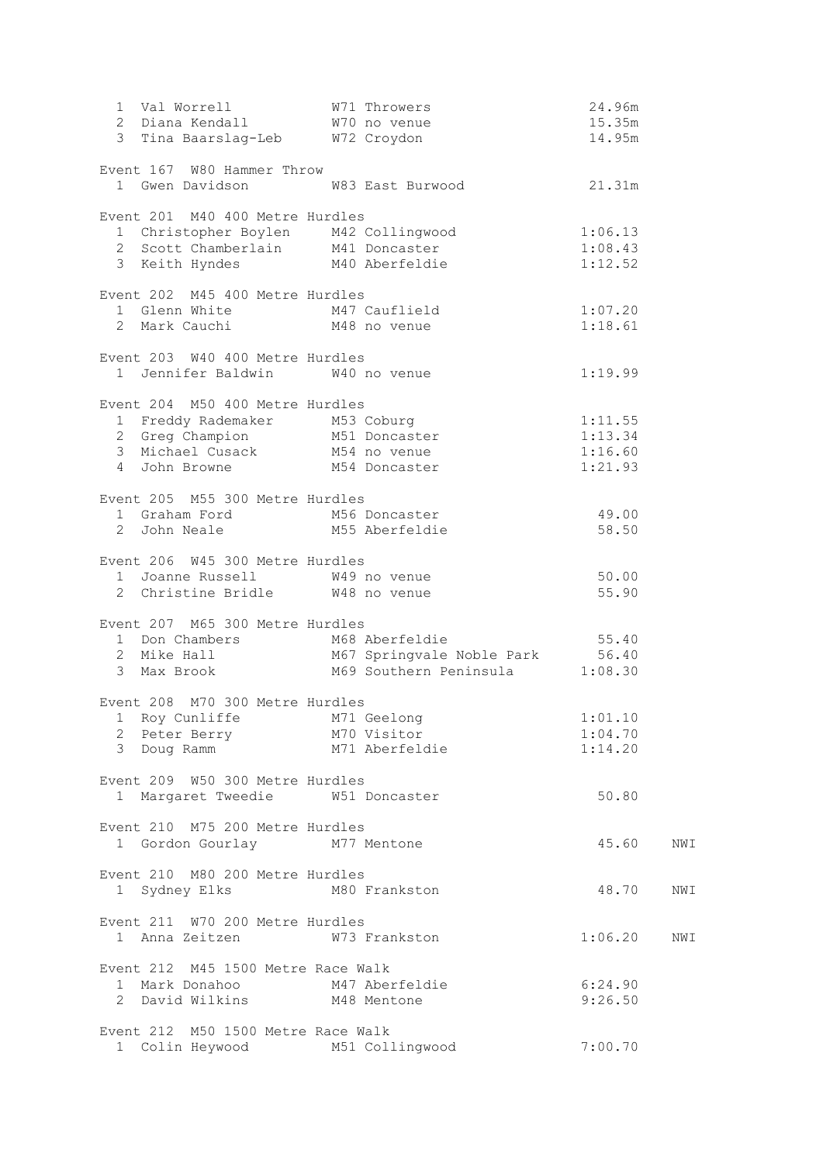|                                                                                                                                |                                                                                                                                  | 24.96m  |     |
|--------------------------------------------------------------------------------------------------------------------------------|----------------------------------------------------------------------------------------------------------------------------------|---------|-----|
|                                                                                                                                |                                                                                                                                  | 15.35m  |     |
|                                                                                                                                |                                                                                                                                  | 14.95m  |     |
| Event 167 W80 Hammer Throw                                                                                                     |                                                                                                                                  |         |     |
| 1 Gwen Davidson M83 East Burwood                                                                                               |                                                                                                                                  | 21.31m  |     |
|                                                                                                                                |                                                                                                                                  |         |     |
| Event 201 M40 400 Metre Hurdles                                                                                                |                                                                                                                                  |         |     |
| 1 Christopher Boylen M42 Collingwood                                                                                           |                                                                                                                                  | 1:06.13 |     |
| 2 Scott Chamberlain M41 Doncaster                                                                                              | $1:08.43$<br>$1:12.52$                                                                                                           |         |     |
| 3 Keith Hyndes M40 Aberfeldie                                                                                                  |                                                                                                                                  | 1:12.52 |     |
| Event 202 M45 400 Metre Hurdles                                                                                                |                                                                                                                                  |         |     |
|                                                                                                                                |                                                                                                                                  |         |     |
|                                                                                                                                | 1 Glenn White M47 Cauflield 1:07.20<br>2 Mark Cauchi M48 no venue 1:18.61                                                        |         |     |
|                                                                                                                                |                                                                                                                                  |         |     |
| Event 203 W40 400 Metre Hurdles                                                                                                |                                                                                                                                  |         |     |
| 1 Jennifer Baldwin W40 no venue                                                                                                |                                                                                                                                  | 1:19.99 |     |
| Event 204 M50 400 Metre Hurdles                                                                                                |                                                                                                                                  |         |     |
| 1 Freddy Rademaker M53 Coburg<br>2 Greg Champion M51 Doncaster<br>3 Michael Cusack M54 no venue<br>4 John Browne M54 Doncaster |                                                                                                                                  | 1:11.55 |     |
|                                                                                                                                |                                                                                                                                  | 1:13.34 |     |
|                                                                                                                                |                                                                                                                                  | 1:16.60 |     |
|                                                                                                                                |                                                                                                                                  | 1:21.93 |     |
|                                                                                                                                |                                                                                                                                  |         |     |
| Event 205 M55 300 Metre Hurdles                                                                                                |                                                                                                                                  |         |     |
| 1 Graham Ford M56 Doncaster                                                                                                    |                                                                                                                                  | 49.00   |     |
| 2 John Neale M55 Aberfeldie                                                                                                    |                                                                                                                                  | 58.50   |     |
| Event 206 W45 300 Metre Hurdles                                                                                                |                                                                                                                                  |         |     |
|                                                                                                                                |                                                                                                                                  | 50.00   |     |
| 1 Joanne Russell 1 1 W49 no venue<br>2 Christine Bridle 1 W48 no venue                                                         |                                                                                                                                  | 55.90   |     |
|                                                                                                                                |                                                                                                                                  |         |     |
| Event 207 M65 300 Metre Hurdles                                                                                                |                                                                                                                                  |         |     |
|                                                                                                                                |                                                                                                                                  |         |     |
|                                                                                                                                | 1 Don Chambers M68 Aberfeldie 55.40<br>2 Mike Hall M67 Springvale Noble Park 56.40<br>3 Max Brook M69 Southern Peninsula 1:08.30 |         |     |
|                                                                                                                                |                                                                                                                                  |         |     |
| Event 208 M70 300 Metre Hurdles                                                                                                |                                                                                                                                  |         |     |
|                                                                                                                                |                                                                                                                                  | 1:01.10 |     |
|                                                                                                                                | 1 Roy Cunliffe M71 Geelong<br>2 Peter Berry M70 Visitor                                                                          | 1:04.70 |     |
| 3 Doug Ramm                                                                                                                    | y<br>M70 Visitor<br>M71 Aberfeldie                                                                                               | 1:14.20 |     |
|                                                                                                                                |                                                                                                                                  |         |     |
| Event 209 W50 300 Metre Hurdles<br>1 Margaret Tweedie 6 W51 Doncaster                                                          |                                                                                                                                  | 50.80   |     |
|                                                                                                                                |                                                                                                                                  |         |     |
| Event 210 M75 200 Metre Hurdles                                                                                                |                                                                                                                                  |         |     |
| 1 Gordon Gourlay M77 Mentone                                                                                                   |                                                                                                                                  | 45.60   | NWI |
|                                                                                                                                |                                                                                                                                  |         |     |
| Event 210 M80 200 Metre Hurdles                                                                                                |                                                                                                                                  |         |     |
| 1 Sydney Elks M80 Frankston                                                                                                    |                                                                                                                                  | 48.70   | NWI |
| Event 211 W70 200 Metre Hurdles                                                                                                |                                                                                                                                  |         |     |
| 1 Anna Zeitzen M73 Frankston                                                                                                   |                                                                                                                                  | 1:06.20 | NWI |
|                                                                                                                                |                                                                                                                                  |         |     |
| Event 212 M45 1500 Metre Race Walk                                                                                             |                                                                                                                                  |         |     |
| 1 Mark Donahoo M47 Aberfeldie<br>2 David Wilkins M48 Mentone                                                                   |                                                                                                                                  | 6:24.90 |     |
|                                                                                                                                |                                                                                                                                  | 9:26.50 |     |
| Event 212 M50 1500 Metre Race Walk                                                                                             |                                                                                                                                  |         |     |
| 1 Colin Heywood M51 Collingwood                                                                                                |                                                                                                                                  | 7:00.70 |     |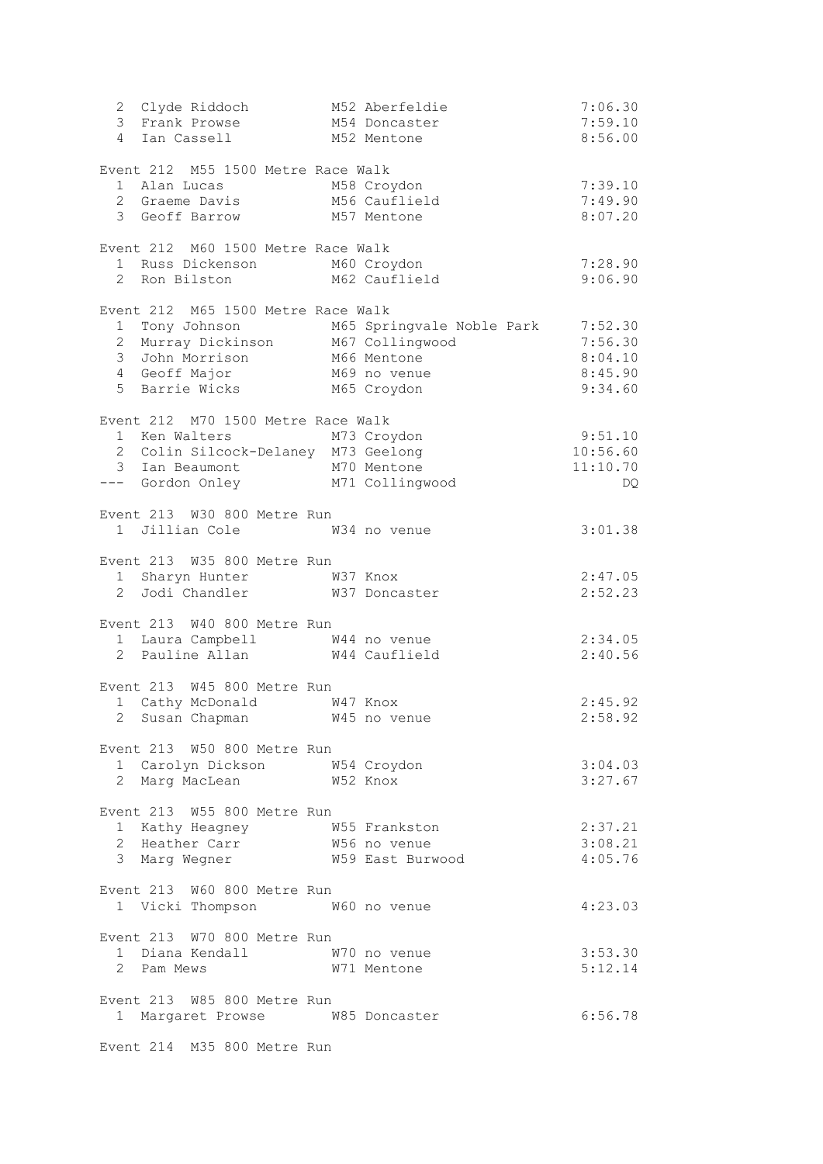| 2 Clyde Riddoch 152 Aberfeld<br>3 Frank Prowse 154 Doncaste<br>4 Ian Cassell 152 Mentone | M52 Aberfeldie                                                                                                                                                                                                                 | 7:06.30  |
|------------------------------------------------------------------------------------------|--------------------------------------------------------------------------------------------------------------------------------------------------------------------------------------------------------------------------------|----------|
|                                                                                          | M54 Doncaster                                                                                                                                                                                                                  | 7:59.10  |
|                                                                                          |                                                                                                                                                                                                                                | 8:56.00  |
| Event 212 M55 1500 Metre Race Walk                                                       |                                                                                                                                                                                                                                |          |
|                                                                                          |                                                                                                                                                                                                                                | 7:39.10  |
| 1 Alan Lucas             M58 Croydon<br>2 Graeme Davis         M56 Cauflield             |                                                                                                                                                                                                                                | 7:49.90  |
| 3 Geoff Barrow M57 Mentone                                                               |                                                                                                                                                                                                                                | 8:07.20  |
|                                                                                          |                                                                                                                                                                                                                                |          |
| Event 212 M60 1500 Metre Race Walk                                                       |                                                                                                                                                                                                                                |          |
| 1 Russ Dickenson M60 Croydon<br>2 Ron Bilston M62 Cauflield                              |                                                                                                                                                                                                                                | 7:28.90  |
|                                                                                          |                                                                                                                                                                                                                                | 9:06.90  |
| Event 212 M65 1500 Metre Race Walk                                                       |                                                                                                                                                                                                                                |          |
|                                                                                          |                                                                                                                                                                                                                                |          |
|                                                                                          | 1 Tony Johnson M65 Springvale Noble Park 7:52.30<br>2 Murray Dickinson M67 Collingwood 7:56.30                                                                                                                                 |          |
|                                                                                          |                                                                                                                                                                                                                                | 8:04.10  |
|                                                                                          |                                                                                                                                                                                                                                | 8:45.90  |
| 3 John Morrison<br>4 Geoff Major M69 no venue<br>5 Barrie Wicks M65 Croydon              |                                                                                                                                                                                                                                | 9:34.60  |
|                                                                                          |                                                                                                                                                                                                                                |          |
| Event 212 M70 1500 Metre Race Walk                                                       |                                                                                                                                                                                                                                |          |
| 1 Ken Walters M73 Croydon                                                                |                                                                                                                                                                                                                                | 9:51.10  |
| 2 Colin Silcock-Delaney M73 Geelong                                                      |                                                                                                                                                                                                                                | 10:56.60 |
| 3 Ian Beaumont M70 Mentone                                                               |                                                                                                                                                                                                                                | 11:10.70 |
| --- Gordon Onley M71 Collingwood                                                         |                                                                                                                                                                                                                                | DQ       |
| Event 213 W30 800 Metre Run                                                              |                                                                                                                                                                                                                                |          |
| 1 Jillian Cole M34 no venue                                                              |                                                                                                                                                                                                                                | 3:01.38  |
|                                                                                          |                                                                                                                                                                                                                                |          |
| Event 213 W35 800 Metre Run                                                              |                                                                                                                                                                                                                                |          |
| 1 Sharyn Hunter W37 Knox                                                                 |                                                                                                                                                                                                                                | 2:47.05  |
| 2 Jodi Chandler M37 Doncaster                                                            |                                                                                                                                                                                                                                | 2:52.23  |
| Event 213 W40 800 Metre Run                                                              |                                                                                                                                                                                                                                |          |
|                                                                                          |                                                                                                                                                                                                                                | 2:34.05  |
| 1 Laura Campbell 1 1 M44 no venue<br>2 Pauline Allan 1 M44 Cauflield                     |                                                                                                                                                                                                                                | 2:40.56  |
|                                                                                          |                                                                                                                                                                                                                                |          |
| Event 213 W45 800 Metre Run                                                              |                                                                                                                                                                                                                                |          |
| 1 Cathy McDonald W47 Knox                                                                |                                                                                                                                                                                                                                | 2:45.92  |
| 2 Susan Chapman M45 no venue                                                             |                                                                                                                                                                                                                                | 2:58.92  |
|                                                                                          |                                                                                                                                                                                                                                |          |
| Event 213 W50 800 Metre Run                                                              |                                                                                                                                                                                                                                |          |
| 1 Carolyn Dickson M54 Croydon                                                            |                                                                                                                                                                                                                                | 3:04.03  |
| 2 Marg MacLean M52 Knox                                                                  |                                                                                                                                                                                                                                | 3:27.67  |
| Event 213 W55 800 Metre Run                                                              |                                                                                                                                                                                                                                |          |
|                                                                                          |                                                                                                                                                                                                                                | 2:37.21  |
|                                                                                          |                                                                                                                                                                                                                                | 3:08.21  |
|                                                                                          |                                                                                                                                                                                                                                | 4:05.76  |
|                                                                                          | Example 2 and the U.S. Compared to the U.S. Marginson of the U.S. Marginson of the U.S. Marginson of the U.S. Marginson of the U.S. Marginson of the U.S. Marginson of the U.S. Marginson of the U.S. Marginson of the U.S. Ma |          |
| Event 213 W60 800 Metre Run                                                              |                                                                                                                                                                                                                                |          |
| 1 Vicki Thompson M60 no venue                                                            |                                                                                                                                                                                                                                | 4:23.03  |
|                                                                                          |                                                                                                                                                                                                                                |          |
| Event 213 W70 800 Metre Run                                                              |                                                                                                                                                                                                                                |          |
| 1 Diana Kendall 1 670 no venue<br>2 Pam Mews 1 671 Mentone                               |                                                                                                                                                                                                                                | 3:53.30  |
| 2 Pam Mews                                                                               |                                                                                                                                                                                                                                | 5:12.14  |
| Event 213 W85 800 Metre Run                                                              |                                                                                                                                                                                                                                |          |
| 1 Margaret Prowse W85 Doncaster                                                          |                                                                                                                                                                                                                                | 6:56.78  |
|                                                                                          |                                                                                                                                                                                                                                |          |
| Event 214 M35 800 Metre Run                                                              |                                                                                                                                                                                                                                |          |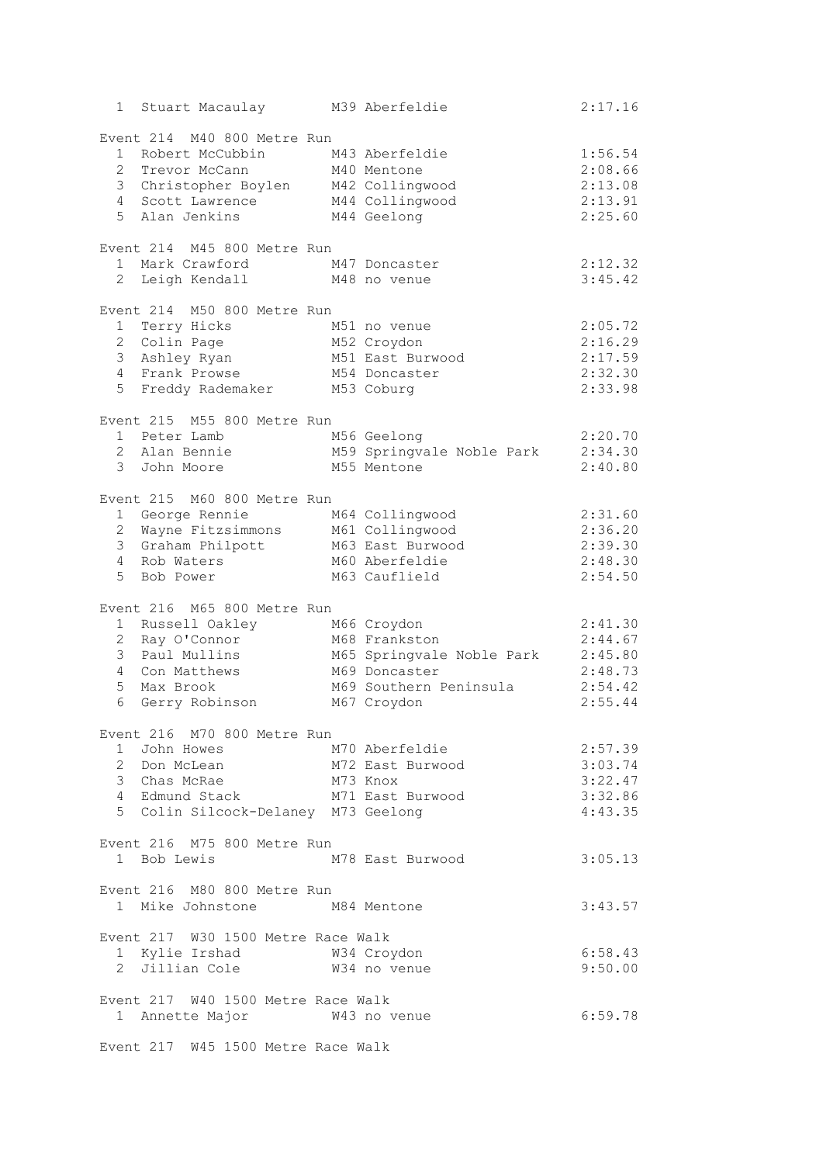| 1 Stuart Macaulay M39 Aberfeldie                  |                                                                 | 2:17.16 |
|---------------------------------------------------|-----------------------------------------------------------------|---------|
| Event 214 M40 800 Metre Run                       |                                                                 |         |
| 1 Robert McCubbin                                 | M43 Aberfeldie                                                  | 1:56.54 |
| $\overline{2}$<br>Trevor McCann                   | M40 Mentone                                                     | 2:08.66 |
| 3 Christopher Boylen M42 Collingwood              |                                                                 | 2:13.08 |
| 4 Scott Lawrence M44 Collingwood                  |                                                                 | 2:13.91 |
| 5 <sup>1</sup><br>Alan Jenkins                    | M44 Geelong                                                     | 2:25.60 |
| Event 214 M45 800 Metre Run                       |                                                                 |         |
| 1 Mark Crawford                                   | M47 Doncaster                                                   | 2:12.32 |
| $\mathbf{2}$<br>Leigh Kendall                     | M48 no venue                                                    | 3:45.42 |
| Event 214 M50 800 Metre Run                       |                                                                 |         |
| 1 Terry Hicks                                     | M51 no venue                                                    | 2:05.72 |
| 2 Colin Page                                      | M52 Croydon                                                     | 2:16.29 |
| Ashley Ryan<br>3                                  | M51 East Burwood                                                | 2:17.59 |
| 4 Frank Prowse                                    | M54 Doncaster                                                   | 2:32.30 |
| 5 Freddy Rademaker                                | M53 Coburg                                                      | 2:33.98 |
| Event 215 M55 800 Metre Run                       |                                                                 |         |
| 1 Peter Lamb                                      | M56 Geelong                                                     | 2:20.70 |
| 2 Alan Bennie                                     | M59 Springvale Noble Park                                       | 2:34.30 |
| 3 John Moore                                      | M55 Mentone                                                     | 2:40.80 |
| Event 215 M60 800 Metre Run                       |                                                                 |         |
| 1 George Rennie                                   | M64 Collingwood                                                 | 2:31.60 |
| $\mathbf{2}$<br>Wayne Fitzsimmons M61 Collingwood |                                                                 | 2:36.20 |
| 3 Graham Philpott                                 | M63 East Burwood                                                | 2:39.30 |
| $\overline{4}$<br>Rob Waters                      | M60 Aberfeldie                                                  | 2:48.30 |
| 5<br>Bob Power                                    | M63 Cauflield                                                   | 2:54.50 |
| Event 216 M65 800 Metre Run                       |                                                                 |         |
| 1 Russell Oakley                                  | M66 Croydon                                                     | 2:41.30 |
| 2 Ray O'Connor                                    | M68 Frankston                                                   | 2:44.67 |
| 3<br>Paul Mullins                                 | M65 Springvale Noble Park 2:45.80                               |         |
| 4 Con Matthews                                    | M69 Doncaster                                                   | 2:48.73 |
| 5<br>Max Brook                                    | M69 Southern Peninsula                                          | 2:54.42 |
| 6<br>Gerry Robinson                               | M67 Croydon                                                     | 2:55.44 |
| Event 216 M70 800 Metre Run                       |                                                                 |         |
|                                                   |                                                                 | 2:57.39 |
|                                                   | 1 John Howes<br>2 Don McLean M72 East Burwood                   | 3:03.74 |
| 3 Chas McRae M73 Knox                             |                                                                 | 3:22.47 |
|                                                   | 3 Chas McRae<br>4 Edmund Stack M71 East Burwood<br>1473 Coolong | 3:32.86 |
|                                                   |                                                                 |         |
| 5 Colin Silcock-Delaney M73 Geelong               |                                                                 | 4:43.35 |
| Event 216 M75 800 Metre Run                       |                                                                 |         |
| 1 Bob Lewis                                       | M78 East Burwood                                                | 3:05.13 |
| Event 216 M80 800 Metre Run                       |                                                                 |         |
| 1 Mike Johnstone M84 Mentone                      |                                                                 | 3:43.57 |
| Event 217 W30 1500 Metre Race Walk                |                                                                 |         |
| 1 Kylie Irshad M34 Croydon                        |                                                                 | 6:58.43 |
| 2 Jillian Cole 6734 no venue                      |                                                                 | 9:50.00 |
|                                                   |                                                                 |         |
| Event 217 W40 1500 Metre Race Walk                |                                                                 |         |
| 1 Annette Major 6743 no venue                     |                                                                 | 6:59.78 |
|                                                   |                                                                 |         |
| Event 217 W45 1500 Metre Race Walk                |                                                                 |         |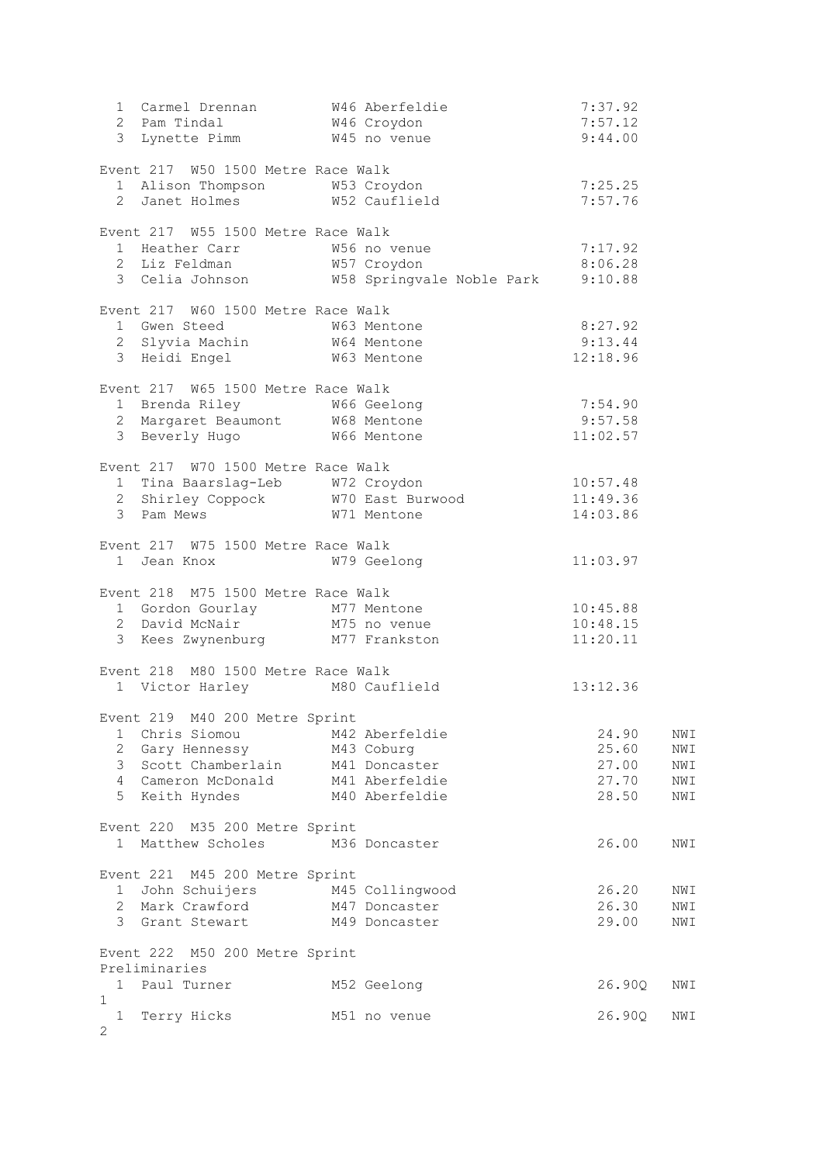| 1 Carmel Drennan M46 Aberfeldie                                                                     |                                                   | 7:37.92            |            |
|-----------------------------------------------------------------------------------------------------|---------------------------------------------------|--------------------|------------|
| 2 Pam Tindal W46 Croydon                                                                            |                                                   | 7:57.12<br>9:44.00 |            |
| 3 Lynette Pimm W45 no venue                                                                         |                                                   |                    |            |
| Event 217 W50 1500 Metre Race Walk                                                                  |                                                   |                    |            |
| 1 Alison Thompson M53 Croydon                                                                       |                                                   | 7:25.25            |            |
| 2 Janet Holmes M52 Cauflield                                                                        |                                                   | 7:57.76            |            |
|                                                                                                     |                                                   |                    |            |
| Event 217 W55 1500 Metre Race Walk                                                                  |                                                   | 7:17.92            |            |
| 1 Heather Carr 56 no venue<br>2 Liz Feldman 57 Croydon<br>2 Liz Feldman 57 Croydon                  |                                                   | 8:06.28            |            |
|                                                                                                     | 3 Celia Johnson M58 Springvale Noble Park 9:10.88 |                    |            |
|                                                                                                     |                                                   |                    |            |
| Event 217 W60 1500 Metre Race Walk<br>1 Gwen Steed                                                  | W63 Mentone                                       | 8:27.92            |            |
| 2 Slyvia Machin M64 Mentone                                                                         |                                                   |                    |            |
| 3 Heidi Engel                                                                                       | $9:13.44$<br>$12:18.96$<br>W63 Mentone            |                    |            |
|                                                                                                     |                                                   |                    |            |
| Event 217 W65 1500 Metre Race Walk                                                                  |                                                   |                    |            |
| 1 Brenda Riley 1 1 M66 Geelong<br>2 Margaret Beaumont 1 M68 Mentone<br>3 Beverly Hugo 1 M66 Mentone |                                                   | 7:54.90            |            |
|                                                                                                     |                                                   | 9:57.58            |            |
|                                                                                                     |                                                   | 11:02.57           |            |
| Event 217 W70 1500 Metre Race Walk                                                                  |                                                   |                    |            |
| 1 Tina Baarslag-Leb W72 Croydon                                                                     |                                                   | 10:57.48           |            |
|                                                                                                     | 2 Shirley Coppock W70 East Burwood 11:49.36       |                    |            |
| 3 Pam Mews                                                                                          | W71 Mentone                                       | 14:03.86           |            |
|                                                                                                     |                                                   |                    |            |
| Event 217 W75 1500 Metre Race Walk<br>1 Jean Knox                                                   | W79 Geelong                                       | 11:03.97           |            |
|                                                                                                     |                                                   |                    |            |
| Event 218 M75 1500 Metre Race Walk                                                                  |                                                   |                    |            |
| 1 Gordon Gourlay 177 Mentone<br>2 David McNair 175 no venue                                         |                                                   | 10:45.88           |            |
|                                                                                                     |                                                   | 10:48.15           |            |
| 3 Kees Zwynenburg M77 Frankston                                                                     |                                                   | 11:20.11           |            |
| Event 218 M80 1500 Metre Race Walk                                                                  |                                                   |                    |            |
| 1 Victor Harley M80 Cauflield                                                                       |                                                   | 13:12.36           |            |
|                                                                                                     |                                                   |                    |            |
| Event 219 M40 200 Metre Sprint                                                                      |                                                   |                    |            |
| 1 Chris Siomou                                                                                      | M42 Aberfeldie                                    | 24.90              | NWI        |
| 2 Gary Hennessy M43 Coburg                                                                          |                                                   | 25.60              | NWI        |
| 3 Scott Chamberlain M41 Doncaster<br>4 Cameron McDonald M41 Aberfeldie                              |                                                   | 27.00<br>27.70     | NWI<br>NWI |
| 5 Keith Hyndes                                                                                      | M40 Aberfeldie                                    | 28.50              | NWI        |
|                                                                                                     |                                                   |                    |            |
| Event 220 M35 200 Metre Sprint                                                                      |                                                   |                    |            |
| 1 Matthew Scholes M36 Doncaster                                                                     |                                                   | 26.00              | NWI        |
|                                                                                                     |                                                   |                    |            |
| Event 221 M45 200 Metre Sprint<br>1 John Schuijers M45 Collingwood                                  |                                                   | 26.20              | NWI        |
| 2 Mark Crawford M47 Doncaster                                                                       |                                                   | 26.30              | NWI        |
| 3 Grant Stewart M49 Doncaster                                                                       |                                                   | 29.00              | NWI        |
|                                                                                                     |                                                   |                    |            |
| Event 222 M50 200 Metre Sprint                                                                      |                                                   |                    |            |
| Preliminaries                                                                                       |                                                   |                    |            |
| 1 Paul Turner<br>$\mathbf{1}$                                                                       | M52 Geelong                                       | 26.90Q             | NWI        |
| 1 Terry Hicks                                                                                       | M51 no venue                                      | 26.90Q             | NWI        |
| 2                                                                                                   |                                                   |                    |            |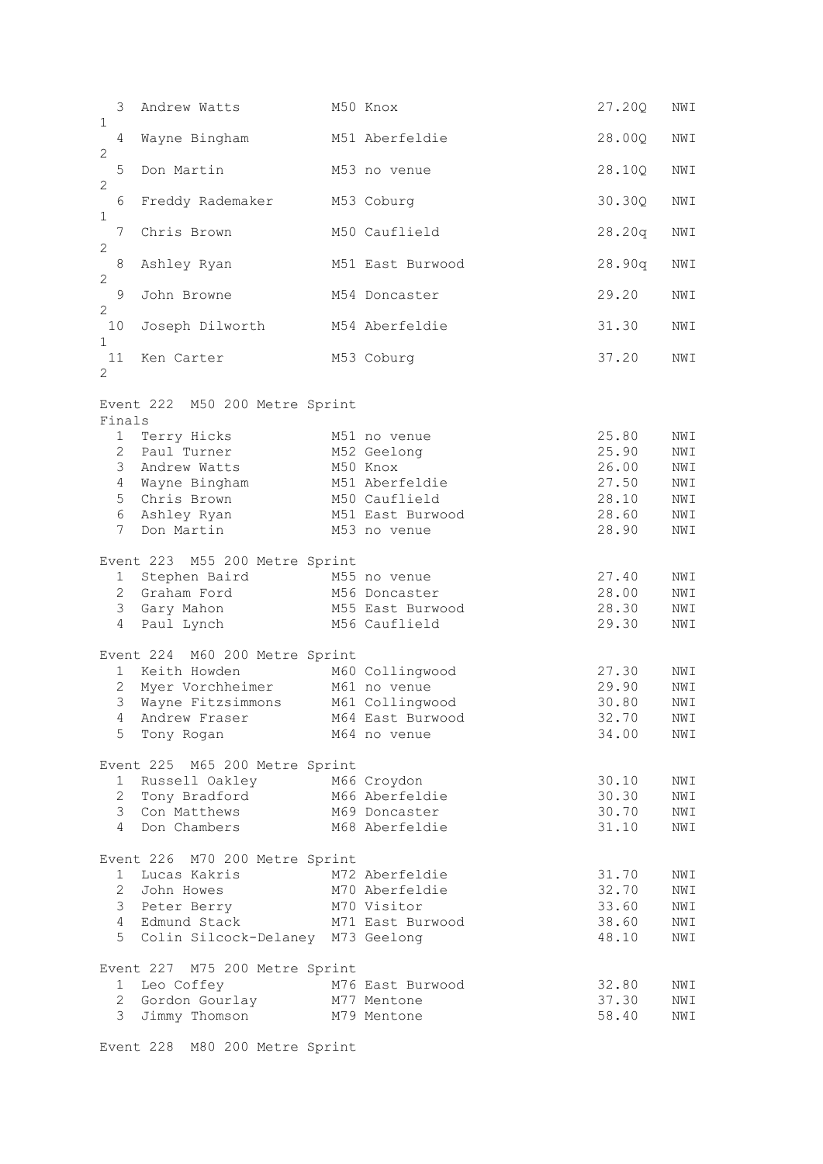|                              | 3              | Andrew Watts                                                  | M50 Knox         | 27.20Q | NWI |
|------------------------------|----------------|---------------------------------------------------------------|------------------|--------|-----|
| $\mathbf{1}$<br>$\mathbf{2}$ | 4              | Wayne Bingham                                                 | M51 Aberfeldie   | 28.00Q | NWI |
| $\mathbf{2}$                 | 5              | Don Martin                                                    | M53 no venue     | 28.10Q | NWI |
| $\mathbf 1$                  | 6              | Freddy Rademaker                                              | M53 Coburg       | 30.30Q | NWI |
| $\mathbf{2}$                 | 7              | Chris Brown                                                   | M50 Cauflield    | 28.20q | NWI |
| $\mathbf{2}$                 | $\,8\,$        | Ashley Ryan                                                   | M51 East Burwood | 28.90q | NWI |
| $\mathbf{2}$                 | $\mathsf 9$    | John Browne                                                   | M54 Doncaster    | 29.20  | NWI |
| 10<br>$\mathbf{1}$           |                | Joseph Dilworth                                               | M54 Aberfeldie   | 31.30  | NWI |
| 11<br>2                      |                | Ken Carter                                                    | M53 Coburg       | 37.20  | NWI |
|                              |                | Event 222 M50 200 Metre Sprint                                |                  |        |     |
| Finals                       |                |                                                               |                  |        |     |
|                              |                | 1 Terry Hicks                                                 | M51 no venue     | 25.80  | NWI |
|                              | $\mathbf{2}$   | Paul Turner                                                   | M52 Geelong      | 25.90  | NWI |
|                              |                | 3 Andrew Watts                                                | M50 Knox         | 26.00  | NWI |
|                              |                | 4 Wayne Bingham                                               | M51 Aberfeldie   | 27.50  | NWI |
|                              | 5              | Chris Brown                                                   | M50 Cauflield    | 28.10  | NWI |
|                              |                | 6 Ashley Ryan                                                 | M51 East Burwood | 28.60  | NWI |
|                              | 7              | Don Martin                                                    | M53 no venue     | 28.90  | NWI |
|                              |                |                                                               |                  |        |     |
|                              |                | Event 223 M55 200 Metre Sprint                                |                  |        |     |
|                              |                |                                                               |                  |        |     |
|                              | $1 \quad$      | Stephen Baird M55 no venue                                    |                  | 27.40  | NWI |
|                              |                | 2 Graham Ford                                                 | M56 Doncaster    | 28.00  | NWI |
|                              | 3              | Gary Mahon                                                    | M55 East Burwood | 28.30  | NWI |
|                              |                | 4 Paul Lynch                                                  | M56 Cauflield    | 29.30  | NWI |
|                              |                |                                                               |                  |        |     |
|                              |                | Event 224 M60 200 Metre Sprint                                |                  |        |     |
|                              |                | 1 Keith Howden                                                | M60 Collingwood  | 27.30  | NWI |
|                              |                | 2 Myer Vorchheimer                                            | M61 no venue     | 29.90  | NWI |
|                              | 3              | Wayne Fitzsimmons                                             | M61 Collingwood  | 30.80  | NWI |
|                              |                | 4 Andrew Fraser M64 East Burwood                              |                  | 32.70  | NWI |
|                              | 5              | Tony Rogan                                                    | M64 no venue     | 34.00  | NWI |
|                              |                | Event 225 M65 200 Metre Sprint                                |                  |        |     |
|                              | 1              | Russell Oakley M66 Croydon                                    |                  | 30.10  | NWI |
|                              | $\overline{2}$ | Tony Bradford M66 Aberfeldie                                  |                  | 30.30  | NWI |
|                              |                | 3 Con Matthews                                                | M69 Doncaster    | 30.70  | NWI |
|                              |                | 4 Don Chambers                                                | M68 Aberfeldie   | 31.10  | NWI |
|                              |                |                                                               |                  |        |     |
|                              |                | Event 226 M70 200 Metre Sprint                                |                  |        |     |
|                              |                | 1 Lucas Kakris                                                | M72 Aberfeldie   | 31.70  | NWI |
|                              |                | 2 John Howes                                                  | M70 Aberfeldie   | 32.70  | NWI |
|                              |                | 3 Peter Berry M70 Visitor                                     |                  | 33.60  | NWI |
|                              |                | 4 Edmund Stack                                                | M71 East Burwood | 38.60  | NWI |
|                              | 5              | Colin Silcock-Delaney M73 Geelong                             |                  | 48.10  | NWI |
|                              |                | Event 227 M75 200 Metre Sprint                                |                  |        |     |
|                              |                |                                                               |                  | 32.80  | NWI |
|                              |                | 1 Leo Coffey M76 East Burwood<br>2 Gordon Gourlay M77 Mentone |                  | 37.30  | NWI |
|                              | 3              | Jimmy Thomson                                                 | M79 Mentone      | 58.40  | NWI |
|                              |                |                                                               |                  |        |     |

Event 228 M80 200 Metre Sprint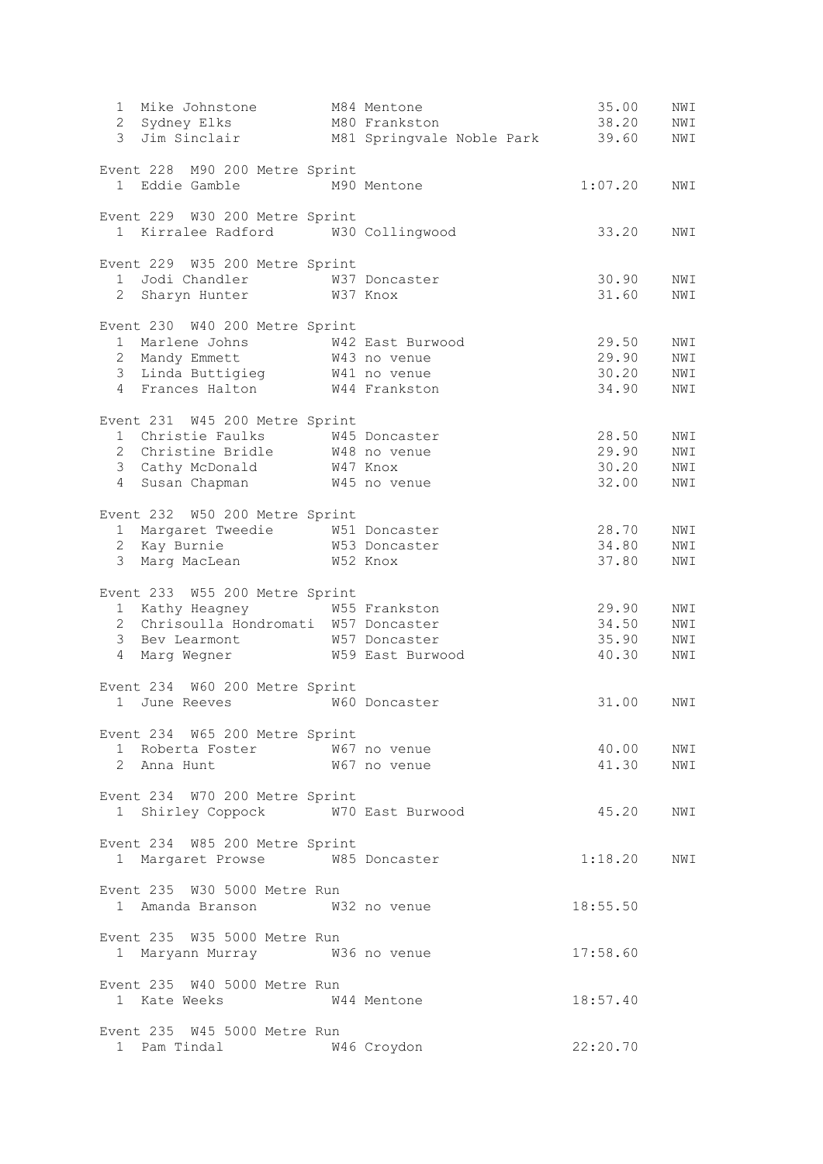| Mike Johnstone<br>$1 \quad$                                        | M84 Mentone | 35.00     | NWI        |
|--------------------------------------------------------------------|-------------|-----------|------------|
| 2 Sydney Elks M80 Frankston                                        |             | 38.20     | NWI        |
| 3 Jim Sinclair M81 Springvale Noble Park                           |             | 39.60     | NWI        |
|                                                                    |             |           |            |
| Event 228 M90 200 Metre Sprint<br>1 Eddie Gamble M90 Mentone       |             | 1:07.20   | NWI        |
|                                                                    |             |           |            |
| Event 229 W30 200 Metre Sprint                                     |             |           |            |
| 1 Kirralee Radford W30 Collingwood                                 |             | 33.20     | NWI        |
|                                                                    |             |           |            |
| Event 229 W35 200 Metre Sprint                                     |             |           |            |
| 1 Jodi Chandler M37 Doncaster                                      |             | 30.90     | NWI        |
| 2 Sharyn Hunter W37 Knox                                           |             | 31.60     | NWI        |
|                                                                    |             |           |            |
| Event 230 W40 200 Metre Sprint                                     |             |           |            |
| 1 Marlene Johns M42 East Burwood<br>2 Mandy Emmett M43 no venue    |             | 29.50     | NWI        |
|                                                                    |             | 29.90     | NWI        |
| 3 Linda Buttigieg 1941 no venue<br>4 Frances Halton 1944 Frankston |             | 30.20     | NWI        |
|                                                                    |             | 34.90     | NWI        |
|                                                                    |             |           |            |
| Event 231 W45 200 Metre Sprint<br>1 Christie Faulks W45 Doncaster  |             | 28.50     |            |
| 2 Christine Bridle M48 no venue                                    |             | 29.90     | NWI<br>NWI |
|                                                                    |             |           |            |
| 3 Cathy McDonald W47 Knox                                          |             | 30.20     | NWI        |
| 4 Susan Chapman M45 no venue                                       |             | 32.00     | NWI        |
| Event 232 W50 200 Metre Sprint                                     |             |           |            |
|                                                                    |             | 28.70     | NWI        |
| 1 Margaret Tweedie 1 W51 Doncaster<br>2 Kay Burnie 1 W53 Doncaster |             | 34.80     | NWI        |
| 3 Marg MacLean W52 Knox                                            |             | 37.80     | NWI        |
|                                                                    |             |           |            |
| Event 233 W55 200 Metre Sprint                                     |             |           |            |
| 1 Kathy Heagney<br>W55 Frankston                                   |             | 29.90     | NWI        |
| 2 Chrisoulla Hondromati W57 Doncaster                              |             | 34.50     | NWI        |
|                                                                    |             | 35.90     | NWI        |
| 3 Bev Learmont 67 Doncaster<br>4 Marg Wegner 67 659 East Burwood   |             | 40.30     | NWI        |
|                                                                    |             |           |            |
| Event 234 W60 200 Metre Sprint                                     |             |           |            |
| 1 June Reeves<br>W60 Doncaster                                     |             | 31.00     | NWI        |
|                                                                    |             |           |            |
| Event 234 W65 200 Metre Sprint                                     |             |           |            |
| 1 Roberta Foster M67 no venue                                      |             | 40.00 NWI |            |
| 2 Anna Hunt 67 no venue                                            |             | 41.30     | NWI        |
|                                                                    |             |           |            |
| Event 234 W70 200 Metre Sprint                                     |             |           |            |
| 1 Shirley Coppock W70 East Burwood                                 |             | 45.20     | NWI        |
|                                                                    |             |           |            |
| Event 234 W85 200 Metre Sprint                                     |             |           |            |
| 1 Margaret Prowse W85 Doncaster                                    |             | 1:18.20   | NWI        |
|                                                                    |             |           |            |
| Event 235 W30 5000 Metre Run                                       |             |           |            |
| 1 Amanda Branson W32 no venue                                      |             | 18:55.50  |            |
|                                                                    |             |           |            |
| Event 235 W35 5000 Metre Run                                       |             |           |            |
| 1 Maryann Murray 6736 no venue                                     |             | 17:58.60  |            |
|                                                                    |             |           |            |
| Event 235 W40 5000 Metre Run                                       |             |           |            |
| 1 Kate Weeks 644 Mentone                                           |             | 18:57.40  |            |
|                                                                    |             |           |            |
| Event 235 W45 5000 Metre Run                                       |             |           |            |
| 1 Pam Tindal M46 Croydon                                           |             | 22:20.70  |            |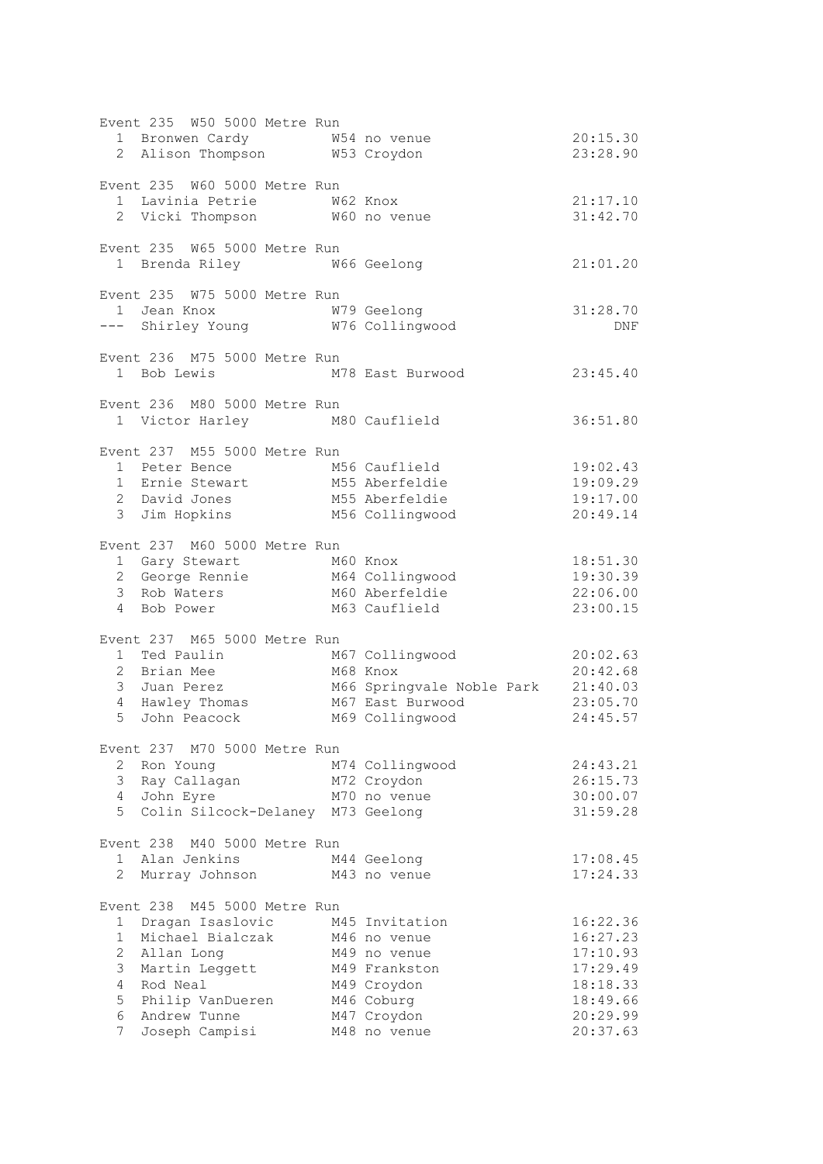| 20:15.30<br>23:28.90                                                                                                                                                                                               |
|--------------------------------------------------------------------------------------------------------------------------------------------------------------------------------------------------------------------|
| 21:17.10<br>31:42.70                                                                                                                                                                                               |
| 21:01.20                                                                                                                                                                                                           |
| 31:28.70<br>DNF                                                                                                                                                                                                    |
| M78 East Burwood 23:45.40                                                                                                                                                                                          |
| 36:51.80                                                                                                                                                                                                           |
| 19:02.43<br>19:09.29<br>19:17.00<br>20:49.14                                                                                                                                                                       |
| 18:51.30<br>19:30.39<br>22:06.00<br>23:00.15                                                                                                                                                                       |
| M67 Collingwood<br>1 Ted Paulin<br>1 Ted Paulin<br>2 Brian Mee M68 Knox<br>3 Juan Perez M66 Springvale Noble Park 21:40.03<br>4 Hawley Thomas M67 East Burwood 23:05.70<br>5 John Peacock M69 Collingwood 24:45.57 |
| 24:43.21<br>26:15.73<br>30:00.07<br>31:59.28                                                                                                                                                                       |
| 17:08.45<br>17:24.33                                                                                                                                                                                               |
| 16:22.36<br>16:27.23<br>17:10.93<br>17:29.49<br>18:18.33<br>18:49.66<br>20:29.99<br>20:37.63                                                                                                                       |
|                                                                                                                                                                                                                    |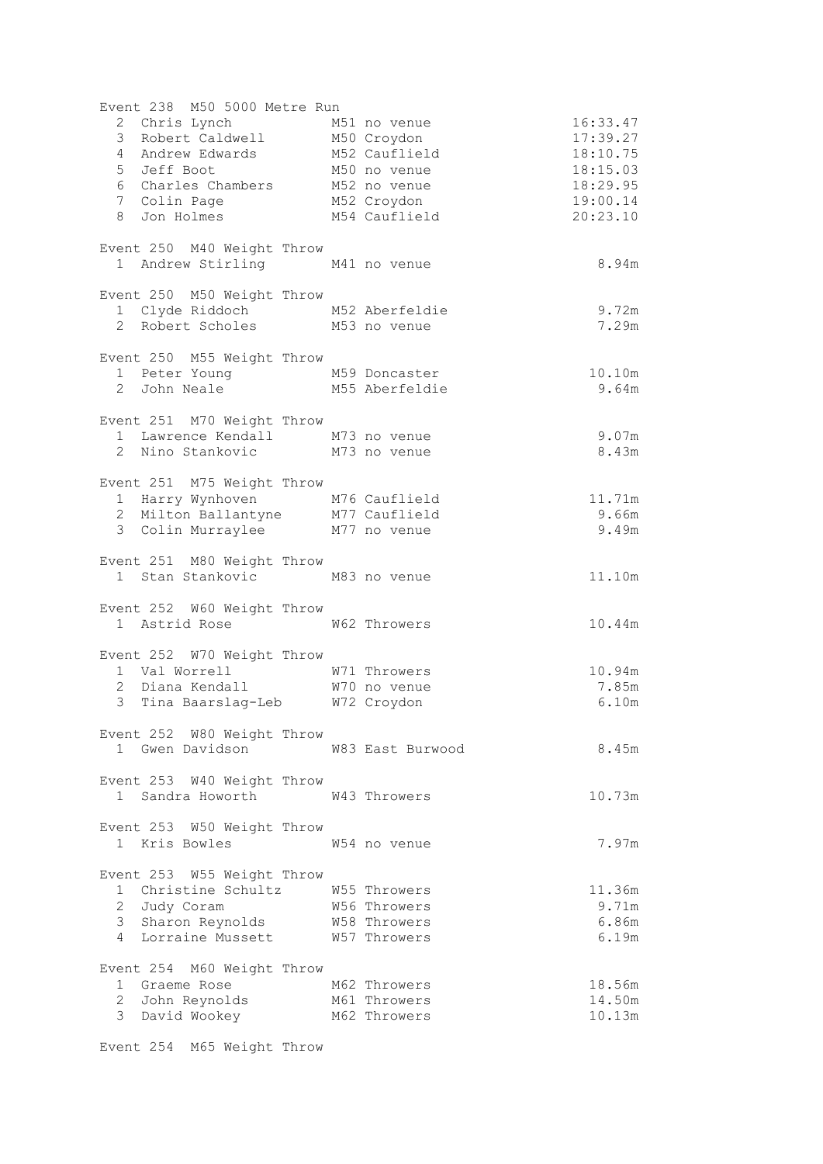| Event 238 M50 5000 Metre Run                                                                       |                  |          |
|----------------------------------------------------------------------------------------------------|------------------|----------|
|                                                                                                    |                  | 16:33.47 |
|                                                                                                    |                  | 17:39.27 |
|                                                                                                    |                  | 18:10.75 |
| 5 Jeff Boot                 M50 no venue<br>6 Charles Chambers       M52 no venue                  |                  | 18:15.03 |
|                                                                                                    |                  | 18:29.95 |
| 7 Colin Page M52 Croydon                                                                           |                  | 19:00.14 |
| 8 Jon Holmes M54 Cauflield                                                                         |                  | 20:23.10 |
| Event 250 M40 Weight Throw                                                                         |                  |          |
| 1 Andrew Stirling M41 no venue                                                                     |                  | 8.94m    |
| Event 250 M50 Weight Throw                                                                         |                  |          |
| 1 Clyde Riddoch M52 Aberfeldie                                                                     |                  | 9.72m    |
| 2 Robert Scholes M53 no venue                                                                      |                  | 7.29m    |
| Event 250 M55 Weight Throw                                                                         |                  |          |
| 1 Peter Young M59 Doncaster<br>2 John Neale M55 Aberfeldie                                         |                  | 10.10m   |
|                                                                                                    |                  | 9.64m    |
| Event 251 M70 Weight Throw                                                                         |                  |          |
| 1 Lawrence Kendall M73 no venue                                                                    |                  | 9.07m    |
| 2 Nino Stankovic M73 no venue                                                                      |                  | 8.43m    |
| Event 251 M75 Weight Throw                                                                         |                  |          |
|                                                                                                    |                  | 11.71m   |
| 1 Harry Wynhoven M76 Cauflield<br>2 Milton Ballantyne M77 Cauflield                                |                  | 9.66m    |
| 3 Colin Murraylee M77 no venue                                                                     |                  | 9.49m    |
| Event 251 M80 Weight Throw                                                                         |                  |          |
| 1 Stan Stankovic M83 no venue                                                                      |                  | 11.10m   |
| Event 252 W60 Weight Throw                                                                         |                  |          |
| 1 Astrid Rose 60 W62 Throwers                                                                      |                  | 10.44m   |
| Event 252 W70 Weight Throw                                                                         |                  |          |
|                                                                                                    |                  | 10.94m   |
|                                                                                                    |                  | 7.85m    |
| 1 Val Worrell 1 W71 Throwers<br>2 Diana Kendall 1 W70 no venue<br>3 Tina Baarslag-Leb 1072 Croydon |                  | 6.10m    |
| Event 252 W80 Weight Throw                                                                         |                  |          |
| 1 Gwen Davidson                                                                                    | W83 East Burwood | 8.45m    |
| Event 253 W40 Weight Throw                                                                         |                  |          |
| 1 Sandra Howorth W43 Throwers                                                                      |                  | 10.73m   |
| Event 253 W50 Weight Throw                                                                         |                  |          |
| 1 Kris Bowles                                                                                      | W54 no venue     | 7.97m    |
| Event 253 W55 Weight Throw                                                                         |                  |          |
| 1 Christine Schultz M55 Throwers                                                                   |                  | 11.36m   |
| 2 Judy Coram                                                                                       | W56 Throwers     | 9.71m    |
| 3 Sharon Reynolds W58 Throwers                                                                     |                  | 6.86m    |
| 4 Lorraine Mussett W57 Throwers                                                                    |                  | 6.19m    |
| Event 254 M60 Weight Throw                                                                         |                  |          |
| 1 Graeme Rose                                                                                      | M62 Throwers     | 18.56m   |
| 2 John Reynolds M61 Throwers                                                                       |                  | 14.50m   |
| 3 David Wookey                                                                                     | M62 Throwers     | 10.13m   |
|                                                                                                    |                  |          |

Event 254 M65 Weight Throw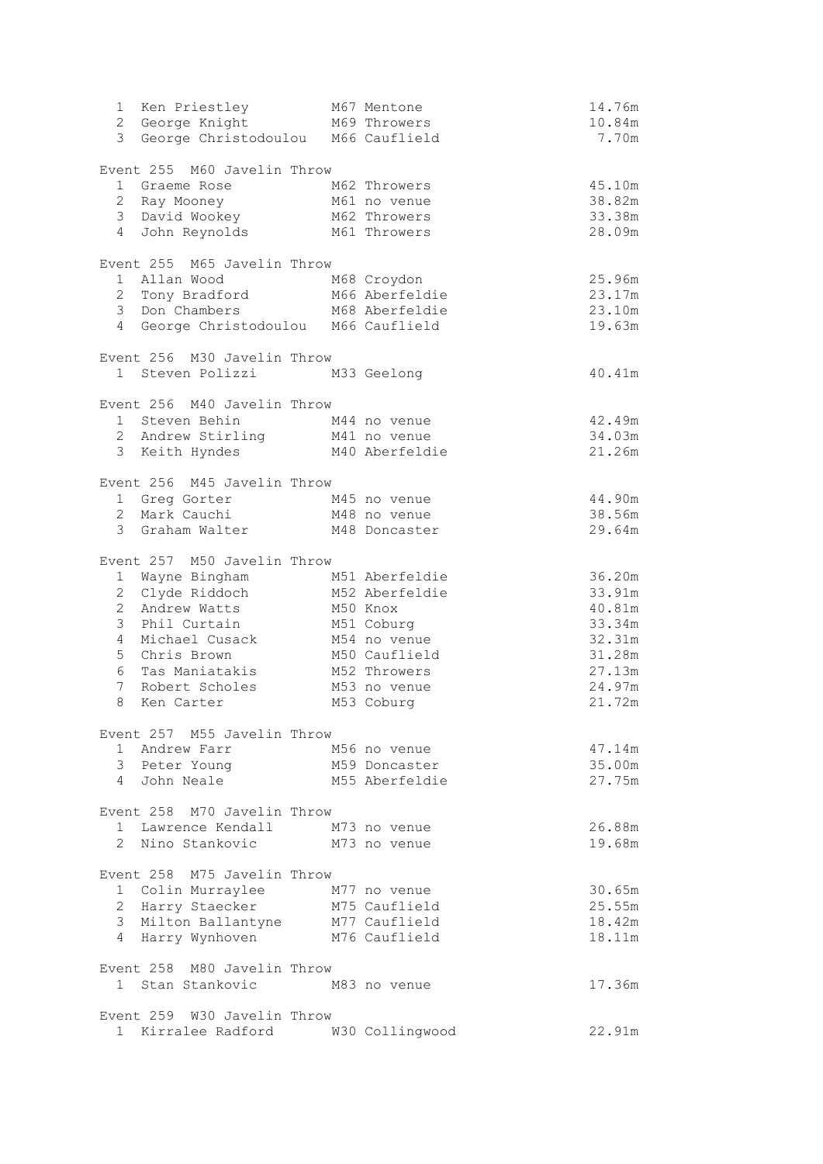| 1 Ken Priestley                                                      | M67 Mentone            | 14.76m           |
|----------------------------------------------------------------------|------------------------|------------------|
| 2 George Knight M69 Throwers<br>3 George Christodoulou M66 Cauflield |                        | 10.84m<br>7.70m  |
|                                                                      |                        |                  |
| Event 255 M60 Javelin Throw                                          |                        |                  |
| 1 Graeme Rose                                                        | M62 Throwers           | 45.10m           |
| 2 Ray Mooney                                                         | M61 no venue           | 38.82m           |
| 3 David Wookey                                                       | M62 Throwers           | 33.38m           |
| $\overline{4}$<br>John Reynolds                                      | M61 Throwers           | 28.09m           |
| Event 255 M65 Javelin Throw                                          |                        |                  |
| 1 Allan Wood                                                         | M68 Croydon            | 25.96m           |
| 1   Allan  Wood<br>2   Tony  Bradford                                | M66 Aberfeldie         | 23.17m           |
| 3 Don Chambers                                                       | M68 Aberfeldie         | 23.10m           |
| 4 George Christodoulou M66 Cauflield                                 |                        | 19.63m           |
| Event 256 M30 Javelin Throw                                          |                        |                  |
| 1 Steven Polizzi M33 Geelong                                         |                        | 40.41m           |
|                                                                      |                        |                  |
| Event 256 M40 Javelin Throw                                          |                        |                  |
| 1 Steven Behin                                                       | M44 no venue           | 42.49m           |
| 2 Andrew Stirling                                                    | M41 no venue           | 34.03m           |
| 3 Keith Hyndes                                                       | M40 Aberfeldie         | 21.26m           |
| Event 256 M45 Javelin Throw                                          |                        |                  |
| 1 Greg Gorter M45 no venue                                           |                        | 44.90m           |
| 2 Mark Cauchi                                                        | M48 no venue           | 38.56m           |
| 3 Graham Walter                                                      | M48 Doncaster          | 29.64m           |
|                                                                      |                        |                  |
| Event 257 M50 Javelin Throw                                          |                        |                  |
| 1 Wayne Bingham                                                      | M51 Aberfeldie         | 36.20m           |
| 2 Clyde Riddoch                                                      | M52 Aberfeldie         | 33.91m           |
| $\overline{2}$<br>Andrew Watts<br>$\mathcal{S}$<br>Phil Curtain      | M50 Knox<br>M51 Coburg | 40.81m<br>33.34m |
| Michael Cusack<br>4                                                  | M54 no venue           | 32.31m           |
| 5<br>Chris Brown                                                     | M50 Cauflield          | 31.28m           |
| 6<br>Tas Maniatakis                                                  | M52 Throwers           | 27.13m           |
| 7<br>Robert Scholes                                                  | M53 no venue           | 24.97m           |
| 8<br>Ken Carter                                                      | M53 Coburg             | 21.72m           |
|                                                                      |                        |                  |
| Event 257 M55 Javelin Throw<br>1 Andrew Farr                         | M56 no venue           | 47.14m           |
| 3 Peter Young                                                        | M59 Doncaster          | 35.00m           |
| 4 John Neale                                                         | M55 Aberfeldie         | 27.75m           |
|                                                                      |                        |                  |
| Event 258 M70 Javelin Throw                                          |                        |                  |
| 1 Lawrence Kendall                                                   | M73 no venue           | 26.88m           |
| 2 Nino Stankovic                                                     | M73 no venue           | 19.68m           |
| Event 258 M75 Javelin Throw                                          |                        |                  |
| 1 Colin Murraylee                                                    | M77 no venue           | 30.65m           |
| 2 Harry Staecker                                                     | M75 Cauflield          | 25.55m           |
| 3 Milton Ballantyne                                                  | M77 Cauflield          | 18.42m           |
| 4 Harry Wynhoven                                                     | M76 Cauflield          | 18.11m           |
|                                                                      |                        |                  |
| Event 258 M80 Javelin Throw<br>1 Stan Stankovic                      |                        | 17.36m           |
|                                                                      | M83 no venue           |                  |
| Event 259 W30 Javelin Throw                                          |                        |                  |
| 1 Kirralee Radford                                                   | W30 Collingwood        | 22.91m           |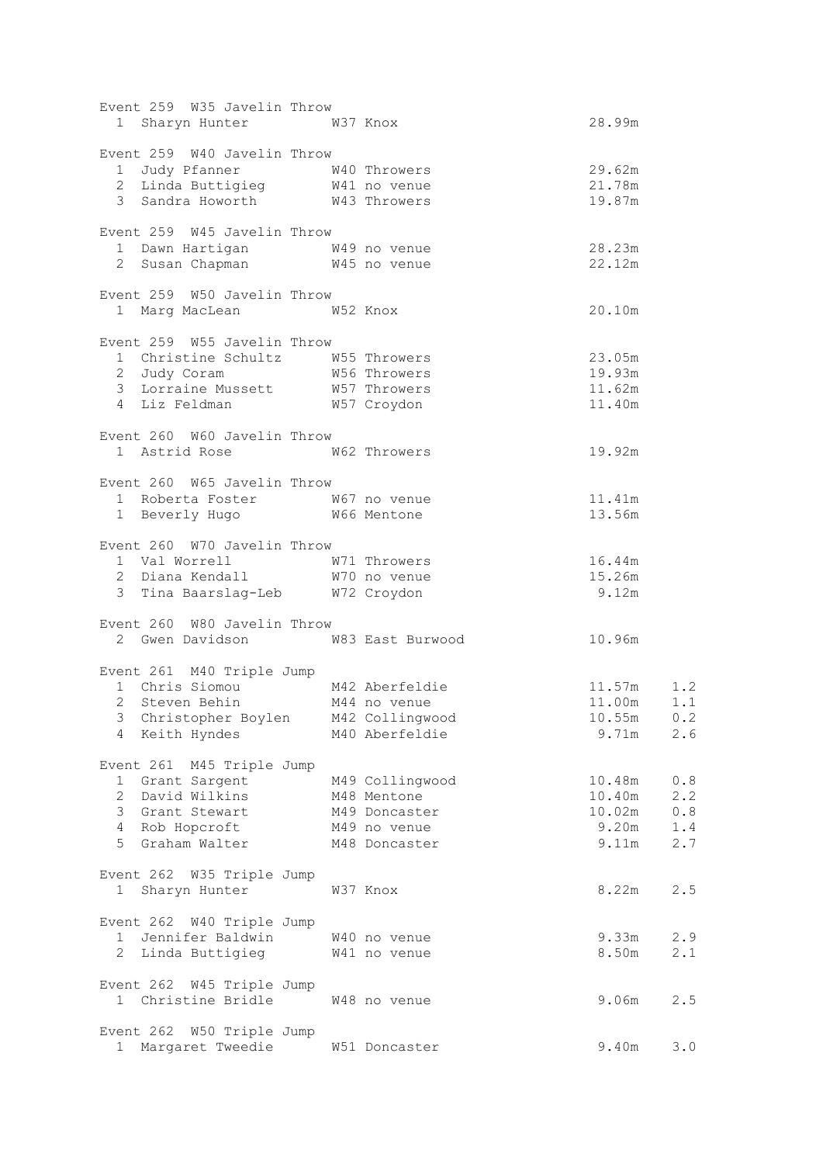| Event 259 W35 Javelin Throw                                                               |                 |                                  |     |
|-------------------------------------------------------------------------------------------|-----------------|----------------------------------|-----|
| 1 Sharyn Hunter M37 Knox                                                                  |                 | 28.99m                           |     |
| Event 259 W40 Javelin Throw                                                               |                 |                                  |     |
| 1 Judy Pfanner 1 1 W40 Throwers<br>2 Linda Buttigieg 1 1 W41 no venue                     |                 | 29.62m                           |     |
|                                                                                           |                 | 21.78m                           |     |
| 3 Sandra Howorth W43 Throwers                                                             |                 | 19.87m                           |     |
| Event 259 W45 Javelin Throw                                                               |                 |                                  |     |
|                                                                                           |                 | 28.23m                           |     |
| 1 Dawn Hartigan 1 1 W49 no venue<br>2 Susan Chapman 1 145 no venue                        |                 | 22.12m                           |     |
| Event 259 W50 Javelin Throw                                                               |                 |                                  |     |
| 1 Marg MacLean 652 Knox                                                                   |                 | 20.10m                           |     |
| Event 259 W55 Javelin Throw                                                               |                 |                                  |     |
| 1 Christine Schultz W55 Throwers                                                          |                 | 23.05m                           |     |
| 2 Judy Coram M56 Throwers                                                                 |                 | 19.93m                           |     |
|                                                                                           |                 | 11.62m                           |     |
| 3 Lorraine Mussett 1957 Throwers<br>4 Liz Feldman 1957 Croydon                            |                 | 11.40m                           |     |
| Event 260 W60 Javelin Throw                                                               |                 |                                  |     |
| 1 Astrid Rose 662 Throwers                                                                |                 | 19.92m                           |     |
| Event 260 W65 Javelin Throw                                                               |                 |                                  |     |
| 1 Roberta Foster M67 no venue                                                             |                 | 11.41m                           |     |
| 1 Beverly Hugo W66 Mentone                                                                |                 | 13.56m                           |     |
| Event 260 W70 Javelin Throw                                                               |                 |                                  |     |
|                                                                                           |                 | 16.44m                           |     |
| 1 Val Worrell 1 W71 Throwers<br>2 Diana Kendall 1 W70 no venue                            |                 | 15.26m                           |     |
| 3 Tina Baarslag-Leb W72 Croydon                                                           |                 | 9.12m                            |     |
| Event 260 W80 Javelin Throw                                                               |                 |                                  |     |
| 2 Gwen Davidson M83 East Burwood                                                          |                 | 10.96m                           |     |
|                                                                                           |                 |                                  |     |
| Event 261 M40 Triple Jump<br>1 Chris Siomou M42 Aberfeldie<br>2 Steven Behin M44 no venue |                 |                                  |     |
|                                                                                           |                 | $11.57m$ $1.2$<br>$11.00m$ $1.1$ |     |
| 3 Christopher Boylen M42 Collingwood                                                      |                 | 10.55m                           | 0.2 |
| 4 Keith Hyndes                                                                            | M40 Aberfeldie  | 9.71m                            | 2.6 |
| Event 261 M45 Triple Jump                                                                 |                 |                                  |     |
| 1 Grant Sargent                                                                           | M49 Collingwood | 10.48m                           | 0.8 |
| 2 David Wilkins                                                                           | M48 Mentone     | 10.40m                           | 2.2 |
| 3 Grant Stewart                                                                           | M49 Doncaster   | 10.02m                           | 0.8 |
| 4 Rob Hopcroft                                                                            | M49 no venue    | 9.20m                            | 1.4 |
| 5 Graham Walter                                                                           | M48 Doncaster   | 9.11m                            | 2.7 |
| Event 262 W35 Triple Jump                                                                 |                 |                                  |     |
| 1 Sharyn Hunter                                                                           | W37 Knox        | 8.22m                            | 2.5 |
|                                                                                           |                 |                                  |     |
| Event 262 W40 Triple Jump                                                                 |                 |                                  |     |
| 1 Jennifer Baldwin W40 no venue                                                           |                 | 9.33m                            | 2.9 |
| 2 Linda Buttigieg M41 no venue                                                            |                 | 8.50m                            | 2.1 |
| Event 262 W45 Triple Jump                                                                 |                 |                                  |     |
| 1 Christine Bridle W48 no venue                                                           |                 | 9.06m                            | 2.5 |
| Event 262 W50 Triple Jump                                                                 |                 |                                  |     |
| Margaret Tweedie<br>$1 \quad$                                                             | W51 Doncaster   | 9.40m                            | 3.0 |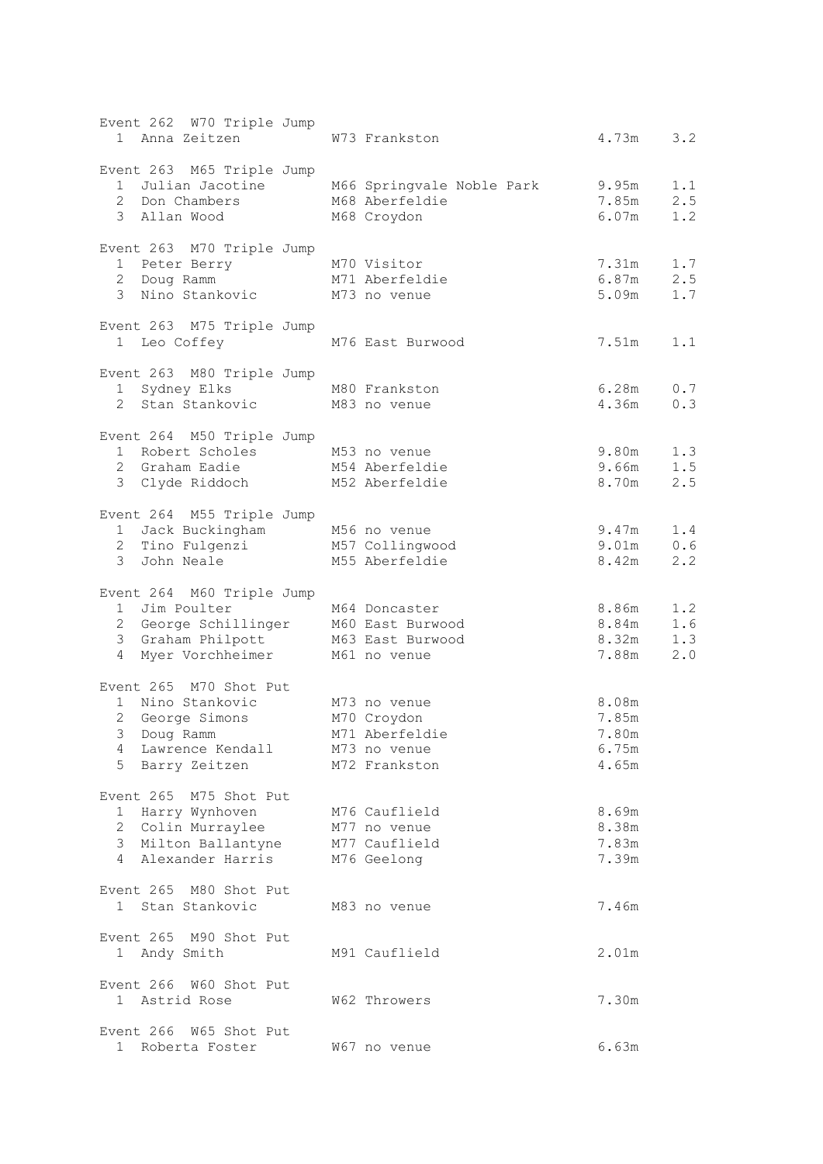| Event 262 W70 Triple Jump<br>1 Anna Zeitzen                                                      | W73 Frankston                               | 4.73m<br>3.2        |
|--------------------------------------------------------------------------------------------------|---------------------------------------------|---------------------|
|                                                                                                  |                                             |                     |
| Event 263 M65 Triple Jump                                                                        |                                             |                     |
|                                                                                                  | 1 Julian Jacotine M66 Springvale Noble Park | 9.95m<br>1.1        |
| 2 Don Chambers                                                                                   | M68 Aberfeldie                              | 7.85m<br>2.5        |
| 3 Allan Wood                                                                                     | M68 Croydon                                 | 6.07m<br>1.2        |
| Event 263 M70 Triple Jump                                                                        |                                             |                     |
| Enclosed Ferry<br>1 Peter Berry M/U visitor<br>2007 M/1 Aberfeldie                               |                                             | 7.31m<br>1.7        |
|                                                                                                  |                                             | 6.87m<br>2.5        |
| 3 Nino Stankovic M73 no venue                                                                    |                                             | 5.09m<br>1.7        |
| Event 263 M75 Triple Jump                                                                        |                                             |                     |
| 1 Leo Coffey                                                                                     | M76 East Burwood                            | 7.51m<br>1.1        |
|                                                                                                  |                                             |                     |
| Event 263 M80 Triple Jump<br>1 Sydney Elks M80 Frankston                                         |                                             | 6.28m               |
| 2 Stan Stankovic M83 no venue                                                                    |                                             | 0.7<br>4.36m<br>0.3 |
|                                                                                                  |                                             |                     |
| Event 264 M50 Triple Jump                                                                        |                                             |                     |
| 1 Robert Scholes M53 no venue                                                                    |                                             | 1.3<br>9.80m        |
| 2 Graham Eadie M54 Aberfeldie                                                                    |                                             | 1.5<br>9.66m        |
| 3 Clyde Riddoch M52 Aberfeldie                                                                   |                                             | 8.70m<br>2.5        |
| Event 264 M55 Triple Jump                                                                        |                                             |                     |
| 1 Jack Buckingham M56 no venue<br>2 Tino Fulgenzi M57 Collingwood<br>3 John Neale M55 Aberfeldie |                                             | 9.47m<br>1.4        |
|                                                                                                  |                                             | 9.01m<br>0.6        |
|                                                                                                  | M55 Aberfeldie                              | 8.42m<br>2.2        |
| Event 264 M60 Triple Jump                                                                        |                                             |                     |
| 1 Jim Poulter                                                                                    | M64 Doncaster                               | 8.86m<br>1.2        |
| 2 George Schillinger M60 East Burwood                                                            |                                             | 1.6<br>8.84m        |
| 3 Graham Philpott M63 East Burwood                                                               |                                             | 8.32m<br>1.3        |
| 4 Myer Vorchheimer M61 no venue                                                                  |                                             | 7.88m<br>2.0        |
| Event 265 M70 Shot Put                                                                           |                                             |                     |
| 1 Nino Stankovic                                                                                 | M73 no venue                                | 8.08m               |
| 2 George Simons M70 Croydon                                                                      |                                             | 7.85m               |
| 3 Doug Ramm                                                                                      | M71 Aberfeldie                              | 7.80m               |
| Lawrence Kendall<br>4                                                                            | M73 no venue                                | 6.75m               |
| 5 Barry Zeitzen                                                                                  | M72 Frankston                               | 4.65m               |
| Event 265 M75 Shot Put                                                                           |                                             |                     |
| 1 Harry Wynhoven                                                                                 | M76 Cauflield                               | 8.69m               |
| 2 Colin Murraylee                                                                                | M77 no venue                                | 8.38m               |
| 3 Milton Ballantyne                                                                              | M77 Cauflield                               | 7.83m               |
| 4 Alexander Harris                                                                               | M76 Geelong                                 | 7.39m               |
|                                                                                                  |                                             |                     |
| Event 265 M80 Shot Put                                                                           |                                             |                     |
| 1 Stan Stankovic                                                                                 | M83 no venue                                | 7.46m               |
| Event 265 M90 Shot Put                                                                           |                                             |                     |
| 1 Andy Smith                                                                                     | M91 Cauflield                               | 2.01m               |
| Event 266 W60 Shot Put                                                                           |                                             |                     |
| 1 Astrid Rose                                                                                    | W62 Throwers                                | 7.30m               |
|                                                                                                  |                                             |                     |
| Event 266 W65 Shot Put                                                                           |                                             |                     |
| 1 Roberta Foster                                                                                 | W67 no venue                                | 6.63m               |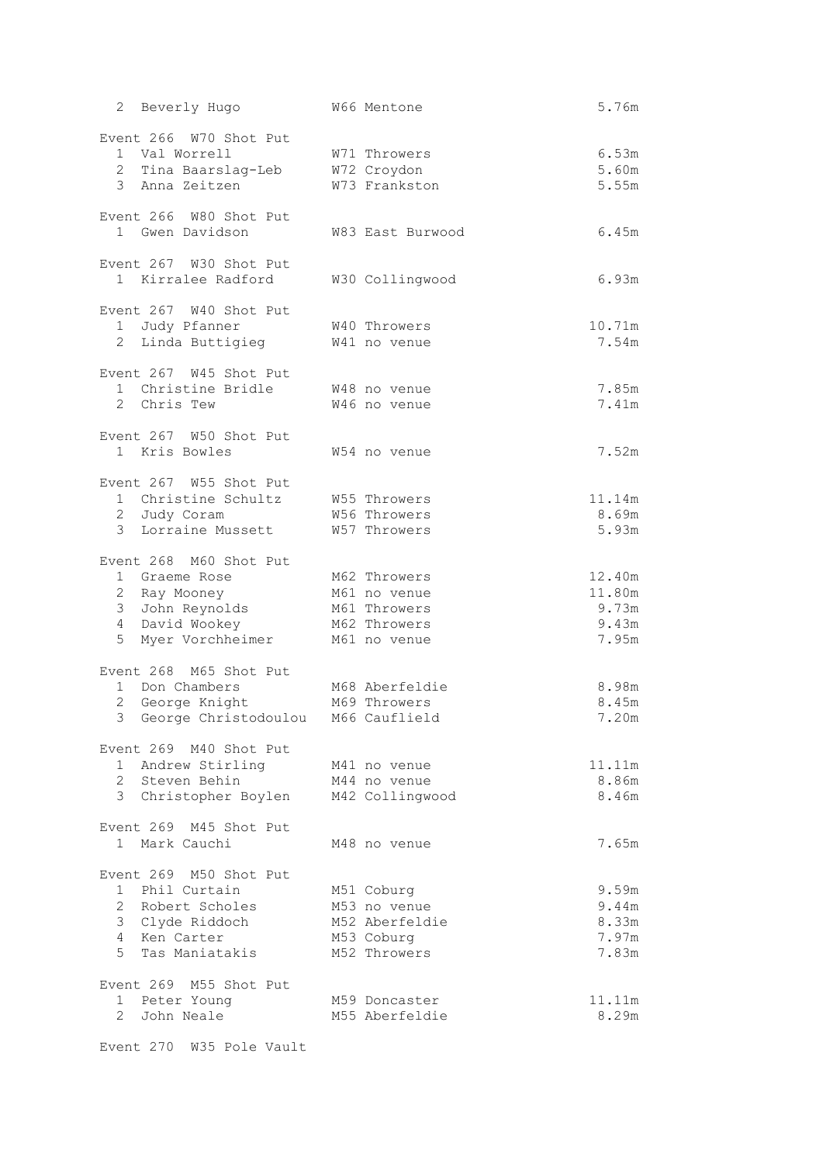| 2 Beverly Hugo                                                                                                        | W66 Mentone                                                                  | 5.76m                                       |
|-----------------------------------------------------------------------------------------------------------------------|------------------------------------------------------------------------------|---------------------------------------------|
| Event 266 W70 Shot Put<br>1 Val Worrell<br>2 Tina Baarslag-Leb<br>3 Anna Zeitzen                                      | W71 Throwers<br>W72 Croydon<br>W73 Frankston                                 | 6.53m<br>5.60m<br>5.55m                     |
| Event 266 W80 Shot Put<br>1 Gwen Davidson                                                                             | W83 East Burwood                                                             | 6.45m                                       |
| Event 267 W30 Shot Put<br>1 Kirralee Radford                                                                          | W30 Collingwood                                                              | 6.93m                                       |
| Event 267 W40 Shot Put<br>1 Judy Pfanner<br>2 Linda Buttigieg                                                         | W40 Throwers<br>W41 no venue                                                 | 10.71m<br>7.54m                             |
| Event 267 W45 Shot Put<br>1 Christine Bridle<br>2 Chris Tew                                                           | W48 no venue<br>W46 no venue                                                 | 7.85m<br>7.41m                              |
| Event 267 W50 Shot Put<br>1 Kris Bowles                                                                               | W54 no venue                                                                 | 7.52m                                       |
| Event 267 W55 Shot Put<br>1 Christine Schultz W55 Throwers<br>2 Judy Coram<br>3 Lorraine Mussett                      | W56 Throwers<br>W57 Throwers                                                 | 11.14m<br>8.69m<br>5.93m                    |
| Event 268 M60 Shot Put<br>1 Graeme Rose<br>2 Ray Mooney<br>3 John Reynolds<br>4 David Wookey<br>5<br>Myer Vorchheimer | M62 Throwers<br>M61 no venue<br>M61 Throwers<br>M62 Throwers<br>M61 no venue | 12.40m<br>11.80m<br>9.73m<br>9.43m<br>7.95m |
| Event 268 M65 Shot Put<br>1 Don Chambers<br>2 George Knight<br>3 George Christodoulou M66 Cauflield                   | M68 Aberfeldie<br>M69 Throwers                                               | 8.98m<br>8.45m<br>7.20m                     |
| Event 269 M40 Shot Put<br>1 Andrew Stirling<br>2 Steven Behin<br>3 Christopher Boylen                                 | M41 no venue<br>M44 no venue<br>M42 Collingwood                              | 11.11m<br>8.86m<br>8.46m                    |
| Event 269 M45 Shot Put<br>1 Mark Cauchi                                                                               | M48 no venue                                                                 | 7.65m                                       |
| Event 269 M50 Shot Put<br>1 Phil Curtain<br>2 Robert Scholes<br>3 Clyde Riddoch<br>4 Ken Carter<br>5 Tas Maniatakis   | M51 Coburg<br>M53 no venue<br>M52 Aberfeldie<br>M53 Coburg<br>M52 Throwers   | 9.59m<br>9.44m<br>8.33m<br>7.97m<br>7.83m   |
| Event 269 M55 Shot Put<br>1 Peter Young<br>2 John Neale                                                               | M59 Doncaster<br>M55 Aberfeldie                                              | 11.11m<br>8.29m                             |

Event 270 W35 Pole Vault